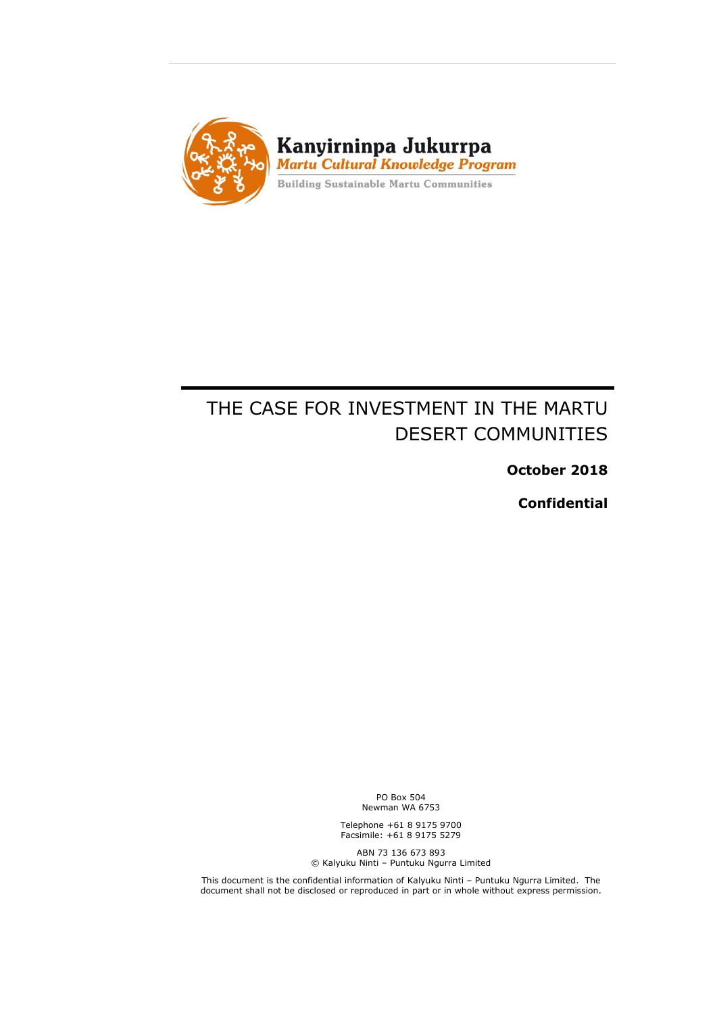

# THE CASE FOR INVESTMENT IN THE MARTU DESERT COMMUNITIES

**October 2018**

**Confidential**

PO Box 504 Newman WA 6753

Telephone +61 8 9175 9700 Facsimile: +61 8 9175 5279

ABN 73 136 673 893 © Kalyuku Ninti – Puntuku Ngurra Limited

This document is the confidential information of Kalyuku Ninti – Puntuku Ngurra Limited. The document shall not be disclosed or reproduced in part or in whole without express permission.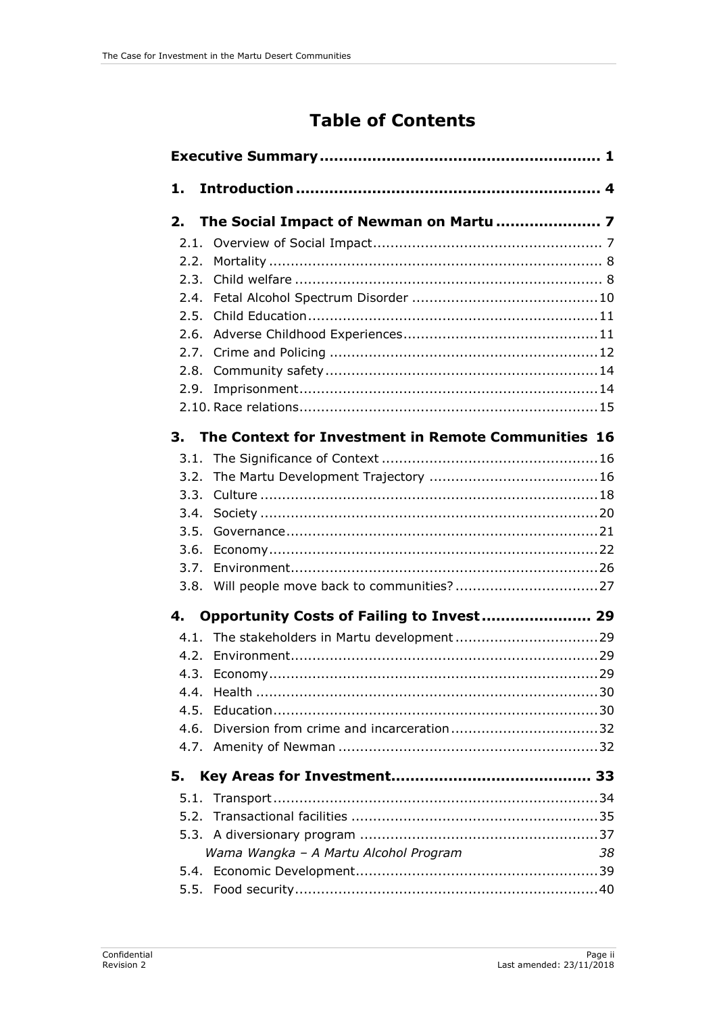# **Table of Contents**

| 1.                                                        |  |  |  |  |
|-----------------------------------------------------------|--|--|--|--|
| 2.                                                        |  |  |  |  |
| 2.1.                                                      |  |  |  |  |
| 2.2.                                                      |  |  |  |  |
| 2.3.                                                      |  |  |  |  |
| 2.4.                                                      |  |  |  |  |
| 2.5.                                                      |  |  |  |  |
| 2.6.                                                      |  |  |  |  |
| 2.7.                                                      |  |  |  |  |
| 2.8.                                                      |  |  |  |  |
| 2.9.                                                      |  |  |  |  |
|                                                           |  |  |  |  |
| The Context for Investment in Remote Communities 16<br>3. |  |  |  |  |
| 3.1.                                                      |  |  |  |  |
| 3.2.                                                      |  |  |  |  |
| 3.3.                                                      |  |  |  |  |
| 3.4.                                                      |  |  |  |  |
| 3.5.                                                      |  |  |  |  |
| 3.6.                                                      |  |  |  |  |
| 3.7.                                                      |  |  |  |  |
| 3.8.                                                      |  |  |  |  |
| Opportunity Costs of Failing to Invest 29<br>4.           |  |  |  |  |
| 4.1.                                                      |  |  |  |  |
| 4.2.                                                      |  |  |  |  |
|                                                           |  |  |  |  |
| 44                                                        |  |  |  |  |
| 4.5.                                                      |  |  |  |  |
| 4.6.                                                      |  |  |  |  |
|                                                           |  |  |  |  |
| 5.                                                        |  |  |  |  |
| 5.1.                                                      |  |  |  |  |
|                                                           |  |  |  |  |
|                                                           |  |  |  |  |
| Wama Wangka - A Martu Alcohol Program<br>38               |  |  |  |  |
|                                                           |  |  |  |  |
|                                                           |  |  |  |  |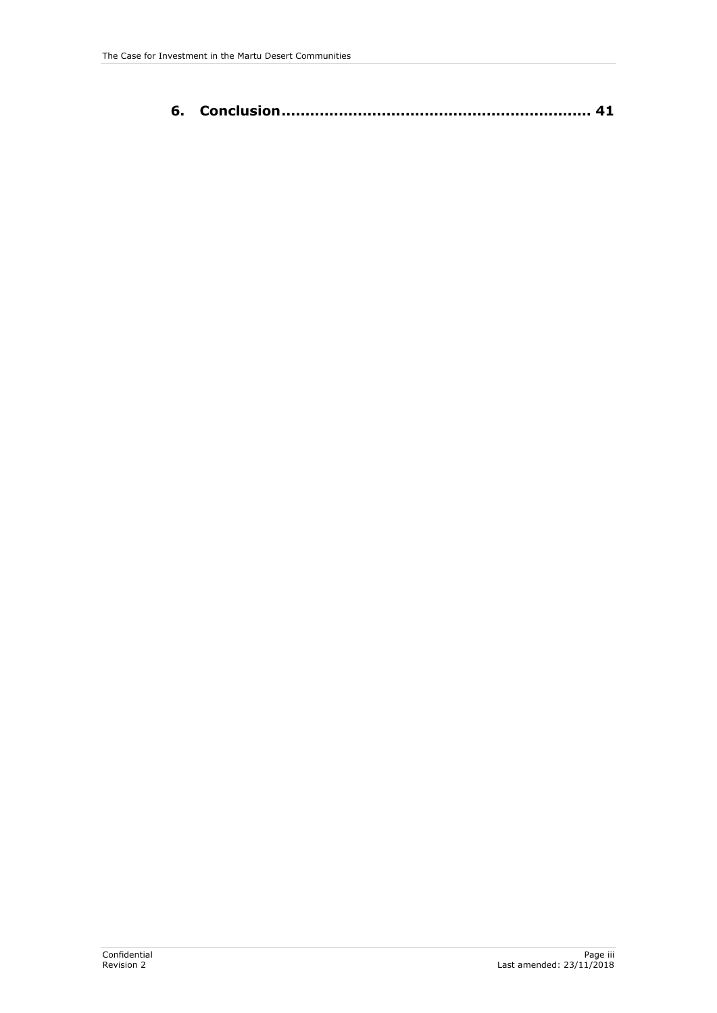|--|--|--|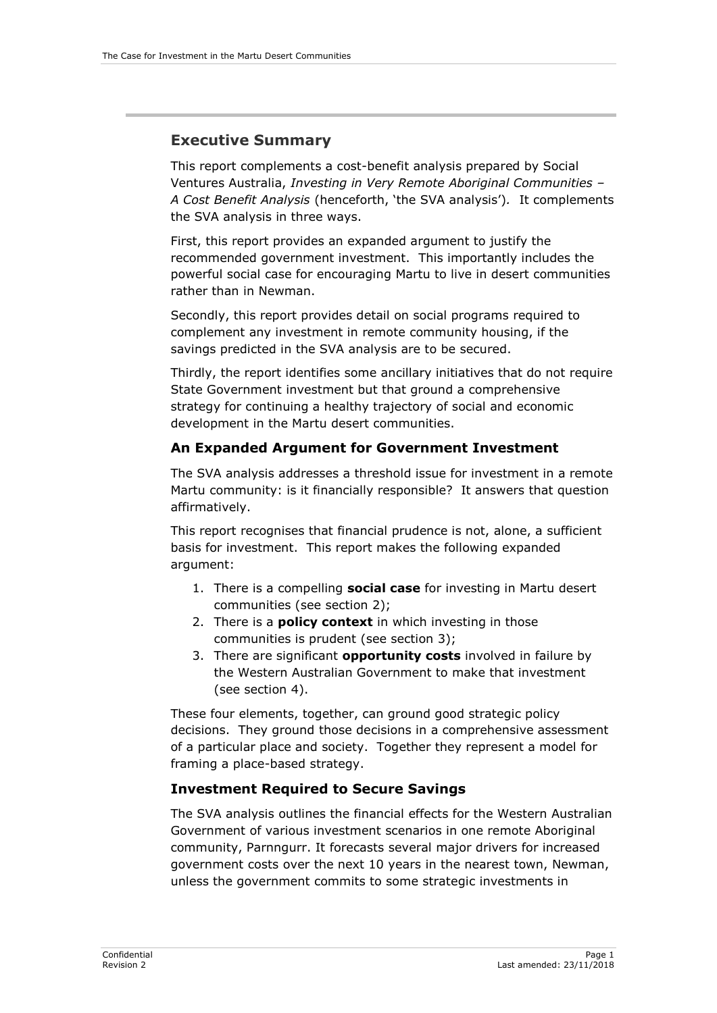## <span id="page-6-0"></span>**Executive Summary**

This report complements a cost-benefit analysis prepared by Social Ventures Australia, *Investing in Very Remote Aboriginal Communities – A Cost Benefit Analysis* (henceforth, 'the SVA analysis')*.* It complements the SVA analysis in three ways.

First, this report provides an expanded argument to justify the recommended government investment. This importantly includes the powerful social case for encouraging Martu to live in desert communities rather than in Newman.

Secondly, this report provides detail on social programs required to complement any investment in remote community housing, if the savings predicted in the SVA analysis are to be secured.

Thirdly, the report identifies some ancillary initiatives that do not require State Government investment but that ground a comprehensive strategy for continuing a healthy trajectory of social and economic development in the Martu desert communities.

#### **An Expanded Argument for Government Investment**

The SVA analysis addresses a threshold issue for investment in a remote Martu community: is it financially responsible? It answers that question affirmatively.

This report recognises that financial prudence is not, alone, a sufficient basis for investment. This report makes the following expanded argument:

- 1. There is a compelling **social case** for investing in Martu desert communities (see section 2);
- 2. There is a **policy context** in which investing in those communities is prudent (see section 3);
- 3. There are significant **opportunity costs** involved in failure by the Western Australian Government to make that investment (see section 4).

These four elements, together, can ground good strategic policy decisions. They ground those decisions in a comprehensive assessment of a particular place and society. Together they represent a model for framing a place-based strategy.

## **Investment Required to Secure Savings**

The SVA analysis outlines the financial effects for the Western Australian Government of various investment scenarios in one remote Aboriginal community, Parnngurr. It forecasts several major drivers for increased government costs over the next 10 years in the nearest town, Newman, unless the government commits to some strategic investments in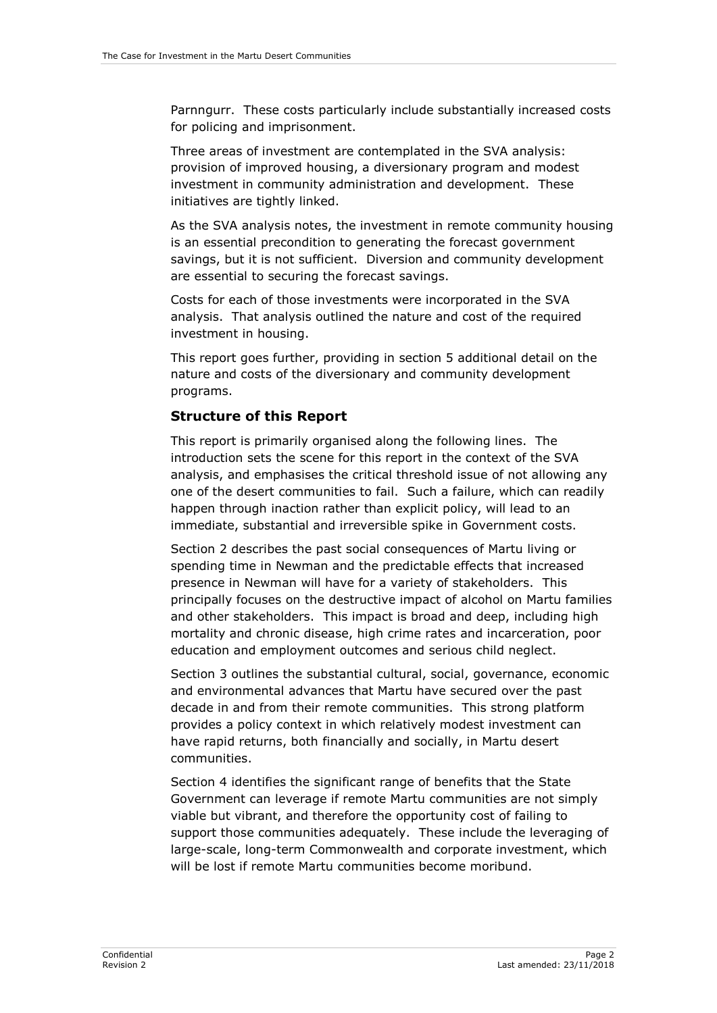Parnngurr. These costs particularly include substantially increased costs for policing and imprisonment.

Three areas of investment are contemplated in the SVA analysis: provision of improved housing, a diversionary program and modest investment in community administration and development. These initiatives are tightly linked.

As the SVA analysis notes, the investment in remote community housing is an essential precondition to generating the forecast government savings, but it is not sufficient. Diversion and community development are essential to securing the forecast savings.

Costs for each of those investments were incorporated in the SVA analysis. That analysis outlined the nature and cost of the required investment in housing.

This report goes further, providing in section 5 additional detail on the nature and costs of the diversionary and community development programs.

#### **Structure of this Report**

This report is primarily organised along the following lines. The introduction sets the scene for this report in the context of the SVA analysis, and emphasises the critical threshold issue of not allowing any one of the desert communities to fail. Such a failure, which can readily happen through inaction rather than explicit policy, will lead to an immediate, substantial and irreversible spike in Government costs.

Section 2 describes the past social consequences of Martu living or spending time in Newman and the predictable effects that increased presence in Newman will have for a variety of stakeholders. This principally focuses on the destructive impact of alcohol on Martu families and other stakeholders. This impact is broad and deep, including high mortality and chronic disease, high crime rates and incarceration, poor education and employment outcomes and serious child neglect.

Section 3 outlines the substantial cultural, social, governance, economic and environmental advances that Martu have secured over the past decade in and from their remote communities. This strong platform provides a policy context in which relatively modest investment can have rapid returns, both financially and socially, in Martu desert communities.

Section 4 identifies the significant range of benefits that the State Government can leverage if remote Martu communities are not simply viable but vibrant, and therefore the opportunity cost of failing to support those communities adequately. These include the leveraging of large-scale, long-term Commonwealth and corporate investment, which will be lost if remote Martu communities become moribund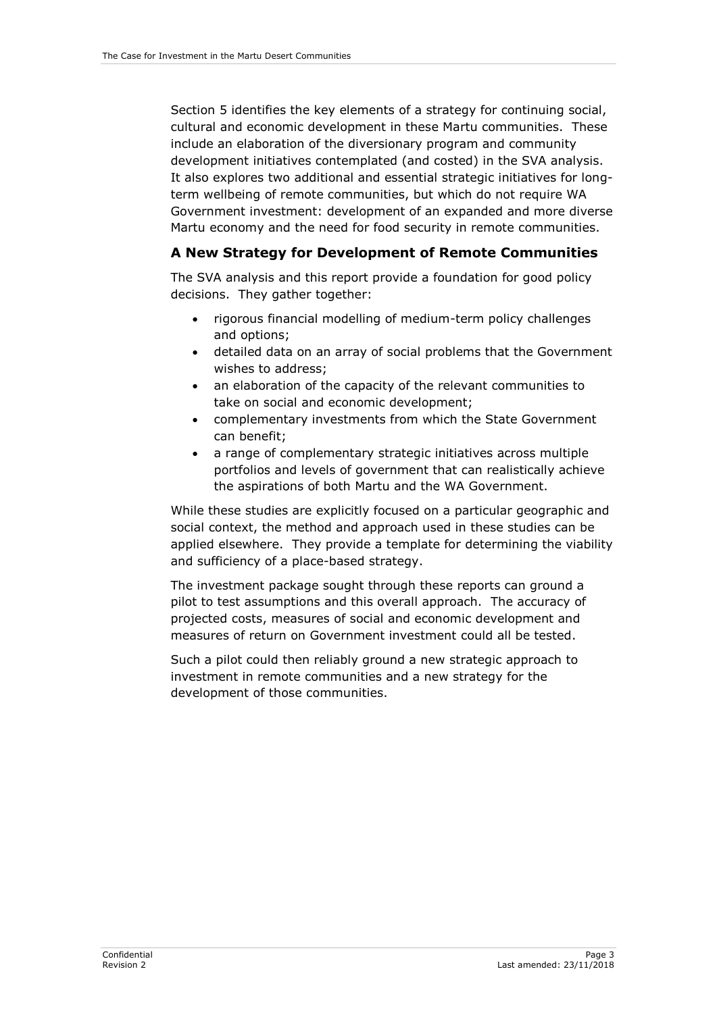Section 5 identifies the key elements of a strategy for continuing social, cultural and economic development in these Martu communities. These include an elaboration of the diversionary program and community development initiatives contemplated (and costed) in the SVA analysis. It also explores two additional and essential strategic initiatives for longterm wellbeing of remote communities, but which do not require WA Government investment: development of an expanded and more diverse Martu economy and the need for food security in remote communities.

#### **A New Strategy for Development of Remote Communities**

The SVA analysis and this report provide a foundation for good policy decisions. They gather together:

- rigorous financial modelling of medium-term policy challenges and options;
- detailed data on an array of social problems that the Government wishes to address;
- an elaboration of the capacity of the relevant communities to take on social and economic development;
- complementary investments from which the State Government can benefit;
- a range of complementary strategic initiatives across multiple portfolios and levels of government that can realistically achieve the aspirations of both Martu and the WA Government.

While these studies are explicitly focused on a particular geographic and social context, the method and approach used in these studies can be applied elsewhere. They provide a template for determining the viability and sufficiency of a place-based strategy.

The investment package sought through these reports can ground a pilot to test assumptions and this overall approach. The accuracy of projected costs, measures of social and economic development and measures of return on Government investment could all be tested.

Such a pilot could then reliably ground a new strategic approach to investment in remote communities and a new strategy for the development of those communities.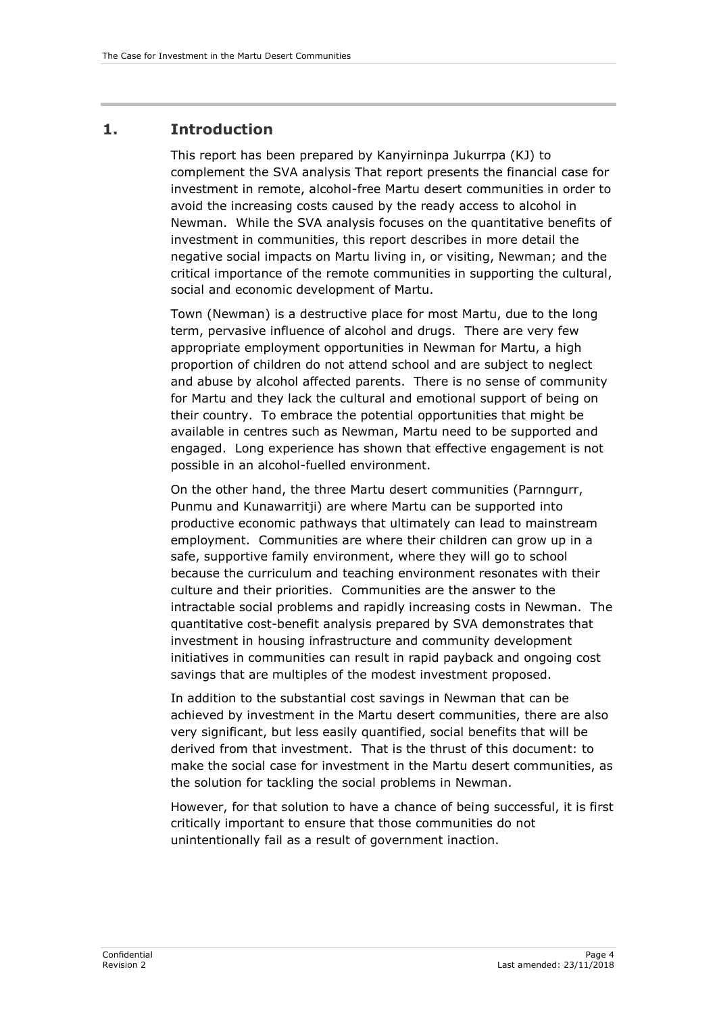## <span id="page-9-0"></span>**1. Introduction**

This report has been prepared by Kanyirninpa Jukurrpa (KJ) to complement the SVA analysis That report presents the financial case for investment in remote, alcohol-free Martu desert communities in order to avoid the increasing costs caused by the ready access to alcohol in Newman. While the SVA analysis focuses on the quantitative benefits of investment in communities, this report describes in more detail the negative social impacts on Martu living in, or visiting, Newman; and the critical importance of the remote communities in supporting the cultural, social and economic development of Martu.

Town (Newman) is a destructive place for most Martu, due to the long term, pervasive influence of alcohol and drugs. There are very few appropriate employment opportunities in Newman for Martu, a high proportion of children do not attend school and are subject to neglect and abuse by alcohol affected parents. There is no sense of community for Martu and they lack the cultural and emotional support of being on their country. To embrace the potential opportunities that might be available in centres such as Newman, Martu need to be supported and engaged. Long experience has shown that effective engagement is not possible in an alcohol-fuelled environment.

On the other hand, the three Martu desert communities (Parnngurr, Punmu and Kunawarritji) are where Martu can be supported into productive economic pathways that ultimately can lead to mainstream employment. Communities are where their children can grow up in a safe, supportive family environment, where they will go to school because the curriculum and teaching environment resonates with their culture and their priorities. Communities are the answer to the intractable social problems and rapidly increasing costs in Newman. The quantitative cost-benefit analysis prepared by SVA demonstrates that investment in housing infrastructure and community development initiatives in communities can result in rapid payback and ongoing cost savings that are multiples of the modest investment proposed.

In addition to the substantial cost savings in Newman that can be achieved by investment in the Martu desert communities, there are also very significant, but less easily quantified, social benefits that will be derived from that investment. That is the thrust of this document: to make the social case for investment in the Martu desert communities, as the solution for tackling the social problems in Newman.

However, for that solution to have a chance of being successful, it is first critically important to ensure that those communities do not unintentionally fail as a result of government inaction.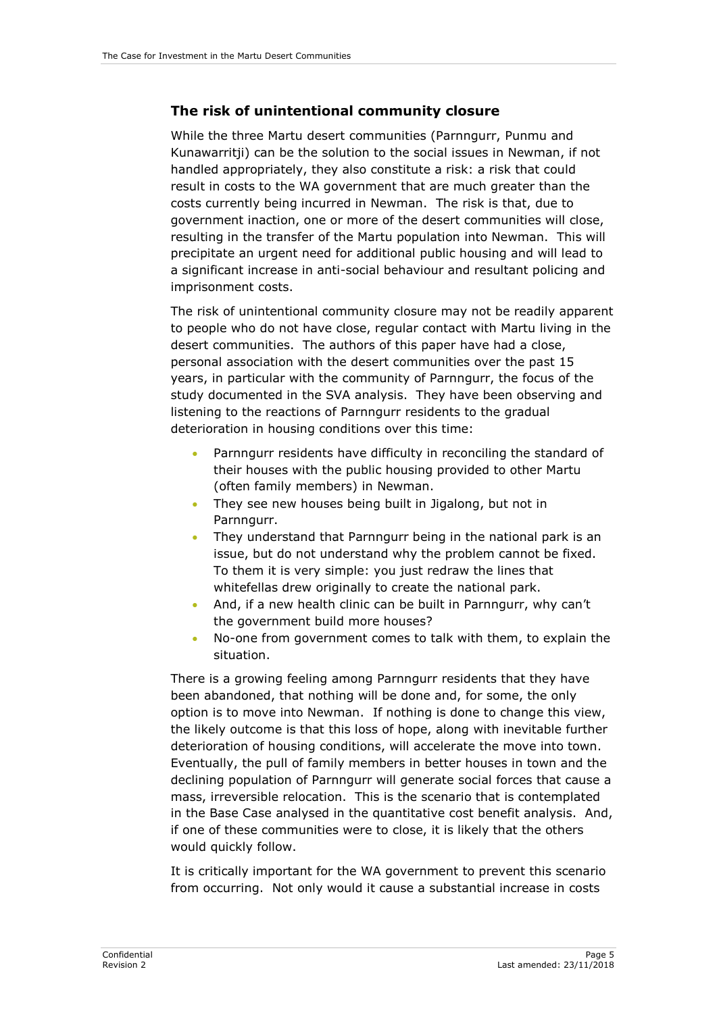#### **The risk of unintentional community closure**

While the three Martu desert communities (Parnngurr, Punmu and Kunawarritji) can be the solution to the social issues in Newman, if not handled appropriately, they also constitute a risk: a risk that could result in costs to the WA government that are much greater than the costs currently being incurred in Newman. The risk is that, due to government inaction, one or more of the desert communities will close, resulting in the transfer of the Martu population into Newman. This will precipitate an urgent need for additional public housing and will lead to a significant increase in anti-social behaviour and resultant policing and imprisonment costs.

The risk of unintentional community closure may not be readily apparent to people who do not have close, regular contact with Martu living in the desert communities. The authors of this paper have had a close, personal association with the desert communities over the past 15 years, in particular with the community of Parnngurr, the focus of the study documented in the SVA analysis. They have been observing and listening to the reactions of Parnngurr residents to the gradual deterioration in housing conditions over this time:

- Parnngurr residents have difficulty in reconciling the standard of their houses with the public housing provided to other Martu (often family members) in Newman.
- They see new houses being built in Jigalong, but not in Parnngurr.
- They understand that Parnngurr being in the national park is an issue, but do not understand why the problem cannot be fixed. To them it is very simple: you just redraw the lines that whitefellas drew originally to create the national park.
- And, if a new health clinic can be built in Parnngurr, why can't the government build more houses?
- No-one from government comes to talk with them, to explain the situation.

There is a growing feeling among Parnngurr residents that they have been abandoned, that nothing will be done and, for some, the only option is to move into Newman. If nothing is done to change this view, the likely outcome is that this loss of hope, along with inevitable further deterioration of housing conditions, will accelerate the move into town. Eventually, the pull of family members in better houses in town and the declining population of Parnngurr will generate social forces that cause a mass, irreversible relocation. This is the scenario that is contemplated in the Base Case analysed in the quantitative cost benefit analysis. And, if one of these communities were to close, it is likely that the others would quickly follow.

It is critically important for the WA government to prevent this scenario from occurring. Not only would it cause a substantial increase in costs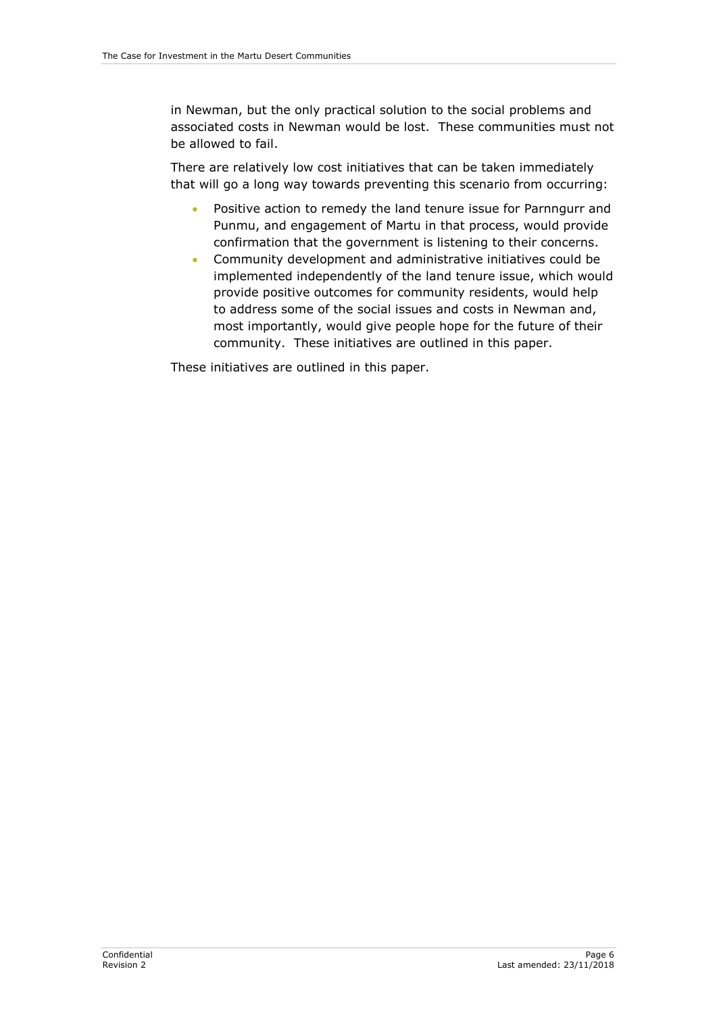in Newman, but the only practical solution to the social problems and associated costs in Newman would be lost. These communities must not be allowed to fail.

There are relatively low cost initiatives that can be taken immediately that will go a long way towards preventing this scenario from occurring:

- Positive action to remedy the land tenure issue for Parnngurr and Punmu, and engagement of Martu in that process, would provide confirmation that the government is listening to their concerns.
- Community development and administrative initiatives could be implemented independently of the land tenure issue, which would provide positive outcomes for community residents, would help to address some of the social issues and costs in Newman and, most importantly, would give people hope for the future of their community. These initiatives are outlined in this paper.

These initiatives are outlined in this paper.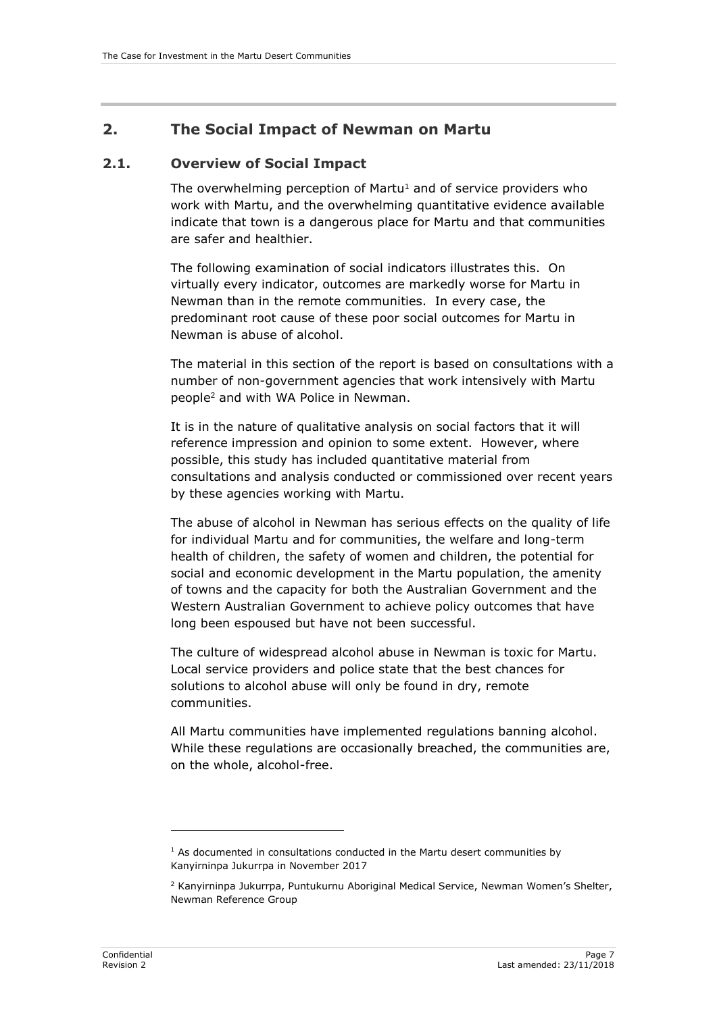## <span id="page-12-0"></span>**2. The Social Impact of Newman on Martu**

#### <span id="page-12-1"></span>**2.1. Overview of Social Impact**

The overwhelming perception of Martu<sup>1</sup> and of service providers who work with Martu, and the overwhelming quantitative evidence available indicate that town is a dangerous place for Martu and that communities are safer and healthier.

The following examination of social indicators illustrates this. On virtually every indicator, outcomes are markedly worse for Martu in Newman than in the remote communities. In every case, the predominant root cause of these poor social outcomes for Martu in Newman is abuse of alcohol.

The material in this section of the report is based on consultations with a number of non-government agencies that work intensively with Martu people<sup>2</sup> and with WA Police in Newman.

It is in the nature of qualitative analysis on social factors that it will reference impression and opinion to some extent. However, where possible, this study has included quantitative material from consultations and analysis conducted or commissioned over recent years by these agencies working with Martu.

The abuse of alcohol in Newman has serious effects on the quality of life for individual Martu and for communities, the welfare and long-term health of children, the safety of women and children, the potential for social and economic development in the Martu population, the amenity of towns and the capacity for both the Australian Government and the Western Australian Government to achieve policy outcomes that have long been espoused but have not been successful.

The culture of widespread alcohol abuse in Newman is toxic for Martu. Local service providers and police state that the best chances for solutions to alcohol abuse will only be found in dry, remote communities.

All Martu communities have implemented regulations banning alcohol. While these regulations are occasionally breached, the communities are, on the whole, alcohol-free.

 $1$  As documented in consultations conducted in the Martu desert communities by Kanyirninpa Jukurrpa in November 2017

<sup>2</sup> Kanyirninpa Jukurrpa, Puntukurnu Aboriginal Medical Service, Newman Women's Shelter, Newman Reference Group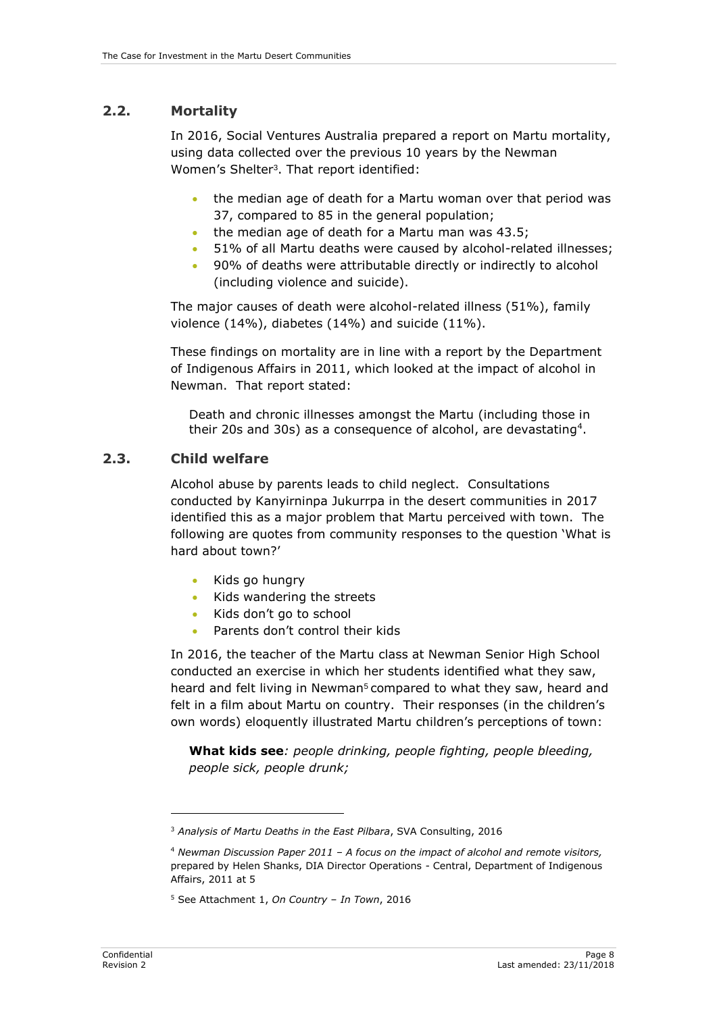#### <span id="page-13-0"></span>**2.2. Mortality**

In 2016, Social Ventures Australia prepared a report on Martu mortality, using data collected over the previous 10 years by the Newman Women's Shelter<sup>3</sup> . That report identified:

- the median age of death for a Martu woman over that period was 37, compared to 85 in the general population;
- the median age of death for a Martu man was 43.5;
- 51% of all Martu deaths were caused by alcohol-related illnesses;
- 90% of deaths were attributable directly or indirectly to alcohol (including violence and suicide).

The major causes of death were alcohol-related illness (51%), family violence (14%), diabetes (14%) and suicide (11%).

These findings on mortality are in line with a report by the Department of Indigenous Affairs in 2011, which looked at the impact of alcohol in Newman. That report stated:

Death and chronic illnesses amongst the Martu (including those in their 20s and 30s) as a consequence of alcohol, are devastating<sup>4</sup>.

#### <span id="page-13-1"></span>**2.3. Child welfare**

Alcohol abuse by parents leads to child neglect. Consultations conducted by Kanyirninpa Jukurrpa in the desert communities in 2017 identified this as a major problem that Martu perceived with town. The following are quotes from community responses to the question 'What is hard about town?'

- Kids go hungry
- Kids wandering the streets
- Kids don't go to school
- Parents don't control their kids

In 2016, the teacher of the Martu class at Newman Senior High School conducted an exercise in which her students identified what they saw, heard and felt living in Newman<sup>5</sup> compared to what they saw, heard and felt in a film about Martu on country. Their responses (in the children's own words) eloquently illustrated Martu children's perceptions of town:

**What kids see***: people drinking, people fighting, people bleeding, people sick, people drunk;*

<sup>3</sup> *Analysis of Martu Deaths in the East Pilbara*, SVA Consulting, 2016

<sup>4</sup> *Newman Discussion Paper 2011 – A focus on the impact of alcohol and remote visitors,*  prepared by Helen Shanks, DIA Director Operations - Central, Department of Indigenous Affairs, 2011 at 5

<sup>5</sup> See Attachment 1, *On Country – In Town*, 2016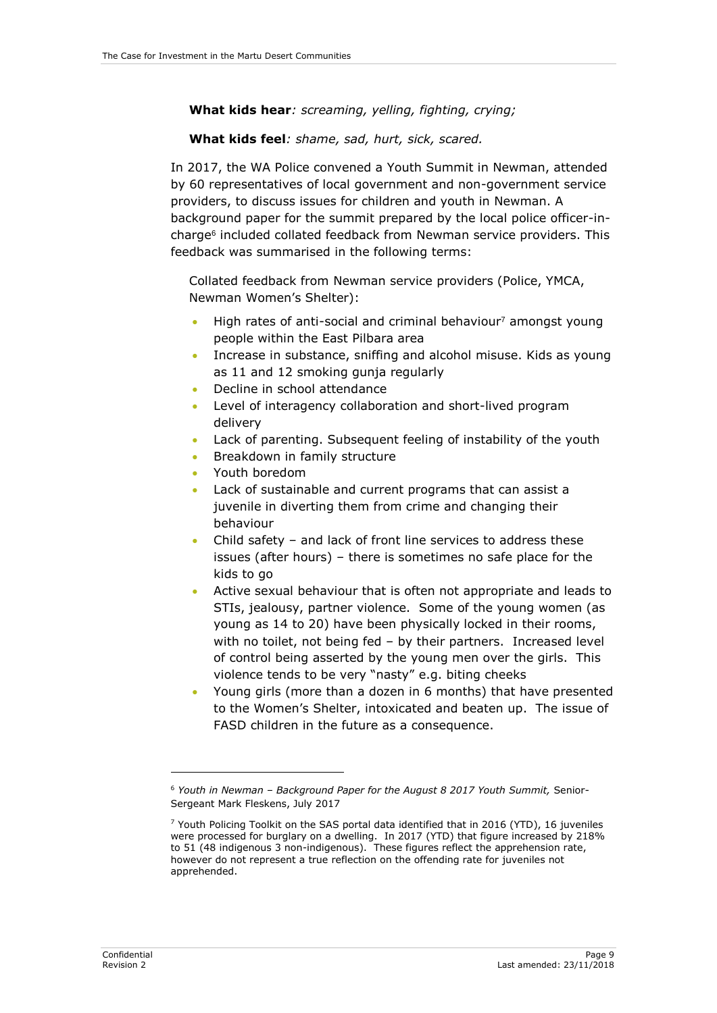#### **What kids hear***: screaming, yelling, fighting, crying;*

#### **What kids feel***: shame, sad, hurt, sick, scared.*

In 2017, the WA Police convened a Youth Summit in Newman, attended by 60 representatives of local government and non-government service providers, to discuss issues for children and youth in Newman. A background paper for the summit prepared by the local police officer-incharge<sup>6</sup> included collated feedback from Newman service providers. This feedback was summarised in the following terms:

Collated feedback from Newman service providers (Police, YMCA, Newman Women's Shelter):

- High rates of anti-social and criminal behaviour<sup>7</sup> amongst young people within the East Pilbara area
- Increase in substance, sniffing and alcohol misuse. Kids as young as 11 and 12 smoking gunja regularly
- Decline in school attendance
- Level of interagency collaboration and short-lived program delivery
- Lack of parenting. Subsequent feeling of instability of the youth
- Breakdown in family structure
- Youth boredom
- Lack of sustainable and current programs that can assist a juvenile in diverting them from crime and changing their behaviour
- Child safety and lack of front line services to address these issues (after hours) – there is sometimes no safe place for the kids to go
- Active sexual behaviour that is often not appropriate and leads to STIs, jealousy, partner violence. Some of the young women (as young as 14 to 20) have been physically locked in their rooms, with no toilet, not being fed – by their partners. Increased level of control being asserted by the young men over the girls. This violence tends to be very "nasty" e.g. biting cheeks
- Young girls (more than a dozen in 6 months) that have presented to the Women's Shelter, intoxicated and beaten up. The issue of FASD children in the future as a consequence.

<sup>6</sup> *Youth in Newman – Background Paper for the August 8 2017 Youth Summit,* Senior-Sergeant Mark Fleskens, July 2017

 $7$  Youth Policing Toolkit on the SAS portal data identified that in 2016 (YTD), 16 juveniles were processed for burglary on a dwelling. In 2017 (YTD) that figure increased by 218% to 51 (48 indigenous 3 non-indigenous). These figures reflect the apprehension rate, however do not represent a true reflection on the offending rate for juveniles not apprehended.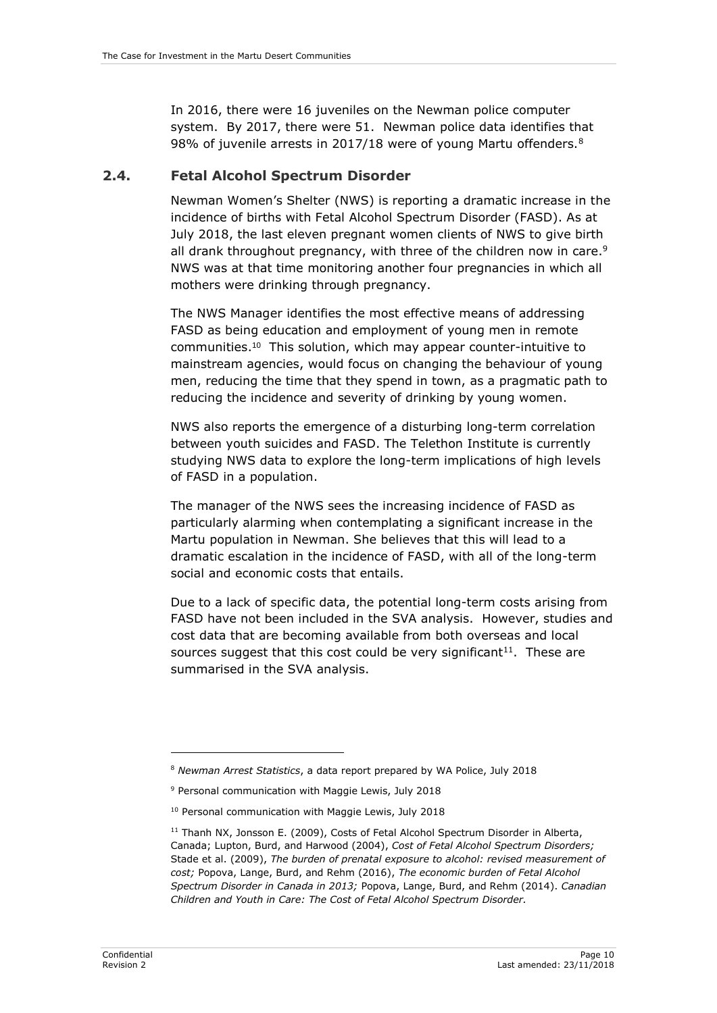In 2016, there were 16 juveniles on the Newman police computer system. By 2017, there were 51. Newman police data identifies that 98% of juvenile arrests in 2017/18 were of young Martu offenders.<sup>8</sup>

#### <span id="page-15-0"></span>**2.4. Fetal Alcohol Spectrum Disorder**

Newman Women's Shelter (NWS) is reporting a dramatic increase in the incidence of births with Fetal Alcohol Spectrum Disorder (FASD). As at July 2018, the last eleven pregnant women clients of NWS to give birth all drank throughout pregnancy, with three of the children now in care.<sup>9</sup> NWS was at that time monitoring another four pregnancies in which all mothers were drinking through pregnancy.

The NWS Manager identifies the most effective means of addressing FASD as being education and employment of young men in remote communities. 10 This solution, which may appear counter-intuitive to mainstream agencies, would focus on changing the behaviour of young men, reducing the time that they spend in town, as a pragmatic path to reducing the incidence and severity of drinking by young women.

NWS also reports the emergence of a disturbing long-term correlation between youth suicides and FASD. The Telethon Institute is currently studying NWS data to explore the long-term implications of high levels of FASD in a population.

The manager of the NWS sees the increasing incidence of FASD as particularly alarming when contemplating a significant increase in the Martu population in Newman. She believes that this will lead to a dramatic escalation in the incidence of FASD, with all of the long-term social and economic costs that entails.

Due to a lack of specific data, the potential long-term costs arising from FASD have not been included in the SVA analysis. However, studies and cost data that are becoming available from both overseas and local sources suggest that this cost could be very significant $11$ . These are summarised in the SVA analysis.

<sup>8</sup> *Newman Arrest Statistics*, a data report prepared by WA Police, July 2018

<sup>9</sup> Personal communication with Maggie Lewis, July 2018

<sup>10</sup> Personal communication with Maggie Lewis, July 2018

<sup>&</sup>lt;sup>11</sup> Thanh NX, Jonsson E. (2009), Costs of Fetal Alcohol Spectrum Disorder in Alberta, Canada; Lupton, Burd, and Harwood (2004), *Cost of Fetal Alcohol Spectrum Disorders;*  Stade et al. (2009), *The burden of prenatal exposure to alcohol: revised measurement of cost;* Popova, Lange, Burd, and Rehm (2016), *The economic burden of Fetal Alcohol Spectrum Disorder in Canada in 2013;* Popova, Lange, Burd, and Rehm (2014). *Canadian Children and Youth in Care: The Cost of Fetal Alcohol Spectrum Disorder.*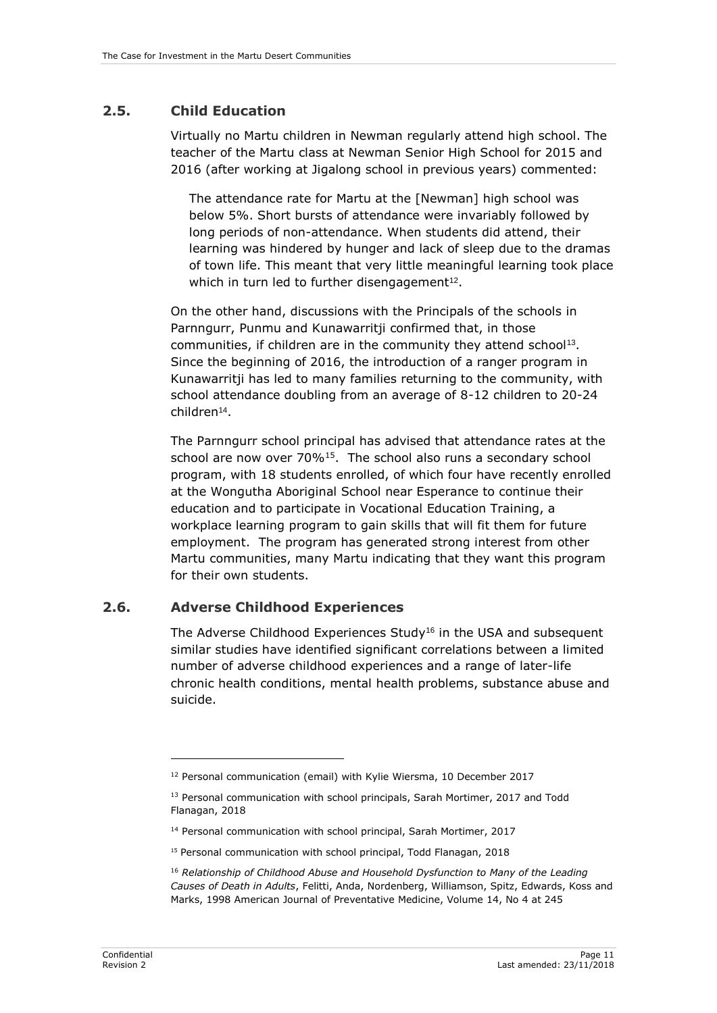# <span id="page-16-0"></span>**2.5. Child Education**

Virtually no Martu children in Newman regularly attend high school. The teacher of the Martu class at Newman Senior High School for 2015 and 2016 (after working at Jigalong school in previous years) commented:

The attendance rate for Martu at the [Newman] high school was below 5%. Short bursts of attendance were invariably followed by long periods of non-attendance. When students did attend, their learning was hindered by hunger and lack of sleep due to the dramas of town life. This meant that very little meaningful learning took place which in turn led to further disengagement<sup>12</sup>.

On the other hand, discussions with the Principals of the schools in Parnngurr, Punmu and Kunawarritji confirmed that, in those communities, if children are in the community they attend school<sup>13</sup>. Since the beginning of 2016, the introduction of a ranger program in Kunawarritji has led to many families returning to the community, with school attendance doubling from an average of 8-12 children to 20-24 children<sup>14</sup> .

The Parnngurr school principal has advised that attendance rates at the school are now over 70%<sup>15</sup>. The school also runs a secondary school program, with 18 students enrolled, of which four have recently enrolled at the Wongutha Aboriginal School near Esperance to continue their education and to participate in Vocational Education Training, a workplace learning program to gain skills that will fit them for future employment. The program has generated strong interest from other Martu communities, many Martu indicating that they want this program for their own students.

# <span id="page-16-1"></span>**2.6. Adverse Childhood Experiences**

The Adverse Childhood Experiences Study<sup>16</sup> in the USA and subsequent similar studies have identified significant correlations between a limited number of adverse childhood experiences and a range of later-life chronic health conditions, mental health problems, substance abuse and suicide.

<sup>&</sup>lt;sup>12</sup> Personal communication (email) with Kylie Wiersma, 10 December 2017

<sup>&</sup>lt;sup>13</sup> Personal communication with school principals, Sarah Mortimer, 2017 and Todd Flanagan, 2018

<sup>14</sup> Personal communication with school principal, Sarah Mortimer, 2017

<sup>15</sup> Personal communication with school principal, Todd Flanagan, 2018

<sup>&</sup>lt;sup>16</sup> Relationship of Childhood Abuse and Household Dysfunction to Many of the Leading *Causes of Death in Adults*, Felitti, Anda, Nordenberg, Williamson, Spitz, Edwards, Koss and Marks, 1998 American Journal of Preventative Medicine, Volume 14, No 4 at 245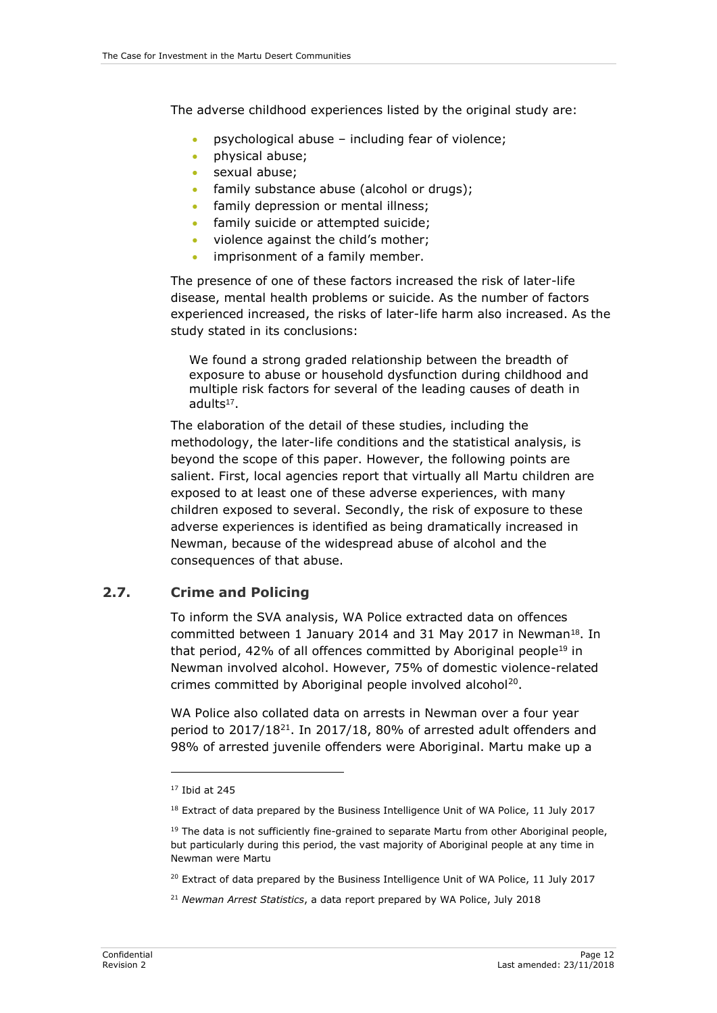The adverse childhood experiences listed by the original study are:

- psychological abuse including fear of violence;
- physical abuse;
- sexual abuse;
- family substance abuse (alcohol or drugs);
- family depression or mental illness;
- family suicide or attempted suicide;
- violence against the child's mother;
- imprisonment of a family member.

The presence of one of these factors increased the risk of later-life disease, mental health problems or suicide. As the number of factors experienced increased, the risks of later-life harm also increased. As the study stated in its conclusions:

We found a strong graded relationship between the breadth of exposure to abuse or household dysfunction during childhood and multiple risk factors for several of the leading causes of death in adults<sup>17</sup>.

The elaboration of the detail of these studies, including the methodology, the later-life conditions and the statistical analysis, is beyond the scope of this paper. However, the following points are salient. First, local agencies report that virtually all Martu children are exposed to at least one of these adverse experiences, with many children exposed to several. Secondly, the risk of exposure to these adverse experiences is identified as being dramatically increased in Newman, because of the widespread abuse of alcohol and the consequences of that abuse.

## <span id="page-17-0"></span>**2.7. Crime and Policing**

To inform the SVA analysis, WA Police extracted data on offences committed between 1 January 2014 and 31 May 2017 in Newman<sup>18</sup>. In that period, 42% of all offences committed by Aboriginal people<sup>19</sup> in Newman involved alcohol. However, 75% of domestic violence-related crimes committed by Aboriginal people involved alcohol<sup>20</sup>.

WA Police also collated data on arrests in Newman over a four year period to 2017/18<sup>21</sup>. In 2017/18, 80% of arrested adult offenders and 98% of arrested juvenile offenders were Aboriginal. Martu make up a

-

<sup>20</sup> Extract of data prepared by the Business Intelligence Unit of WA Police, 11 July 2017

<sup>21</sup> *Newman Arrest Statistics*, a data report prepared by WA Police, July 2018

 $17$  Ibid at 245

<sup>&</sup>lt;sup>18</sup> Extract of data prepared by the Business Intelligence Unit of WA Police, 11 July 2017

 $19$  The data is not sufficiently fine-grained to separate Martu from other Aboriginal people, but particularly during this period, the vast majority of Aboriginal people at any time in Newman were Martu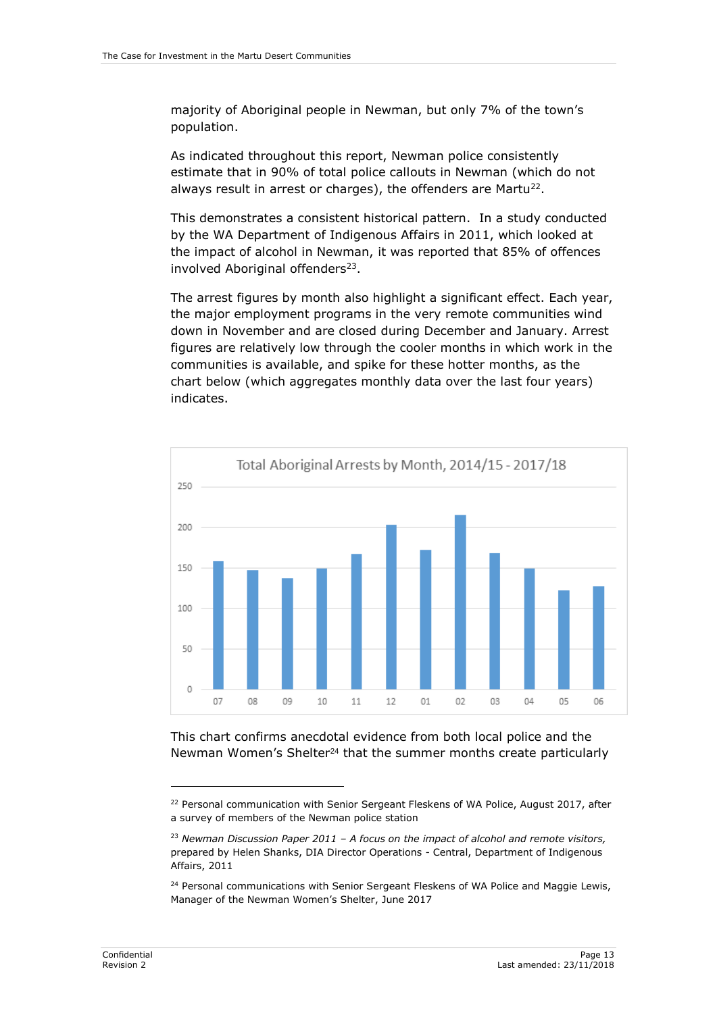majority of Aboriginal people in Newman, but only 7% of the town's population.

As indicated throughout this report, Newman police consistently estimate that in 90% of total police callouts in Newman (which do not always result in arrest or charges), the offenders are Martu<sup>22</sup>.

This demonstrates a consistent historical pattern. In a study conducted by the WA Department of Indigenous Affairs in 2011, which looked at the impact of alcohol in Newman, it was reported that 85% of offences involved Aboriginal offenders<sup>23</sup>.

The arrest figures by month also highlight a significant effect. Each year, the major employment programs in the very remote communities wind down in November and are closed during December and January. Arrest figures are relatively low through the cooler months in which work in the communities is available, and spike for these hotter months, as the chart below (which aggregates monthly data over the last four years) indicates.



This chart confirms anecdotal evidence from both local police and the Newman Women's Shelter<sup>24</sup> that the summer months create particularly

<sup>&</sup>lt;sup>22</sup> Personal communication with Senior Sergeant Fleskens of WA Police, August 2017, after a survey of members of the Newman police station

<sup>23</sup> *Newman Discussion Paper 2011 – A focus on the impact of alcohol and remote visitors,*  prepared by Helen Shanks, DIA Director Operations - Central, Department of Indigenous Affairs, 2011

<sup>&</sup>lt;sup>24</sup> Personal communications with Senior Sergeant Fleskens of WA Police and Maggie Lewis, Manager of the Newman Women's Shelter, June 2017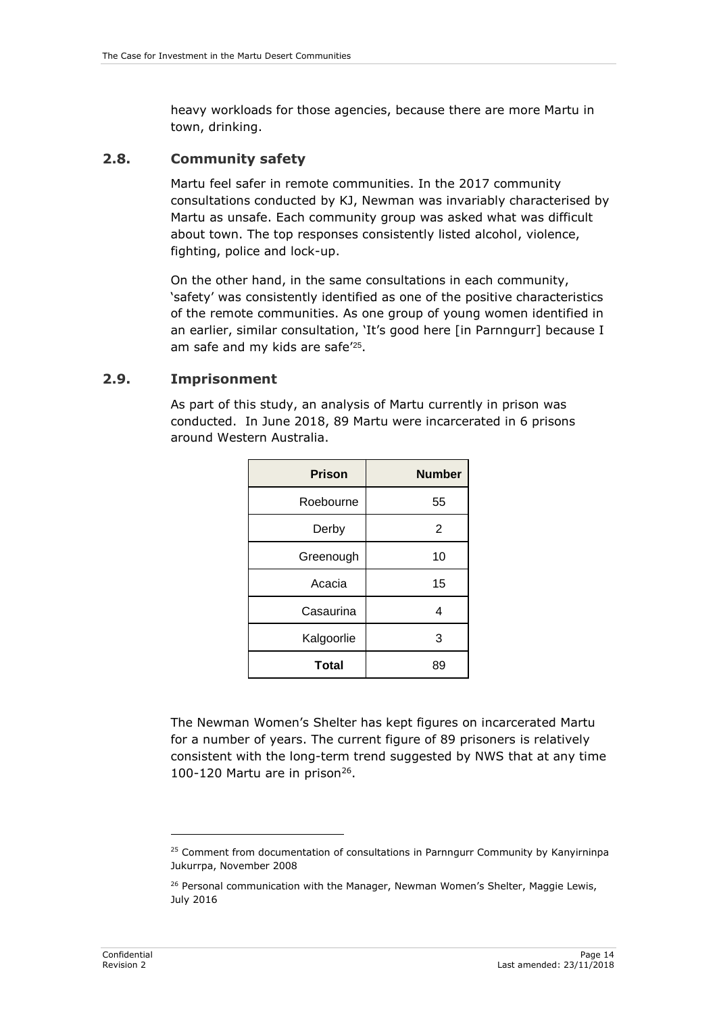heavy workloads for those agencies, because there are more Martu in town, drinking.

#### <span id="page-19-0"></span>**2.8. Community safety**

Martu feel safer in remote communities. In the 2017 community consultations conducted by KJ, Newman was invariably characterised by Martu as unsafe. Each community group was asked what was difficult about town. The top responses consistently listed alcohol, violence, fighting, police and lock-up.

On the other hand, in the same consultations in each community, 'safety' was consistently identified as one of the positive characteristics of the remote communities. As one group of young women identified in an earlier, similar consultation, 'It's good here [in Parnngurr] because I am safe and my kids are safe<sup>'25</sup>.

#### <span id="page-19-1"></span>**2.9. Imprisonment**

As part of this study, an analysis of Martu currently in prison was conducted. In June 2018, 89 Martu were incarcerated in 6 prisons around Western Australia.

| <b>Prison</b> | <b>Number</b> |
|---------------|---------------|
| Roebourne     | 55            |
| Derby         | 2             |
| Greenough     | 10            |
| Acacia        | 15            |
| Casaurina     | 4             |
| Kalgoorlie    | 3             |
| <b>Total</b>  | 89            |

The Newman Women's Shelter has kept figures on incarcerated Martu for a number of years. The current figure of 89 prisoners is relatively consistent with the long-term trend suggested by NWS that at any time 100-120 Martu are in prison $26$ .

<sup>&</sup>lt;sup>25</sup> Comment from documentation of consultations in Parnngurr Community by Kanyirninpa Jukurrpa, November 2008

<sup>&</sup>lt;sup>26</sup> Personal communication with the Manager, Newman Women's Shelter, Maggie Lewis, July 2016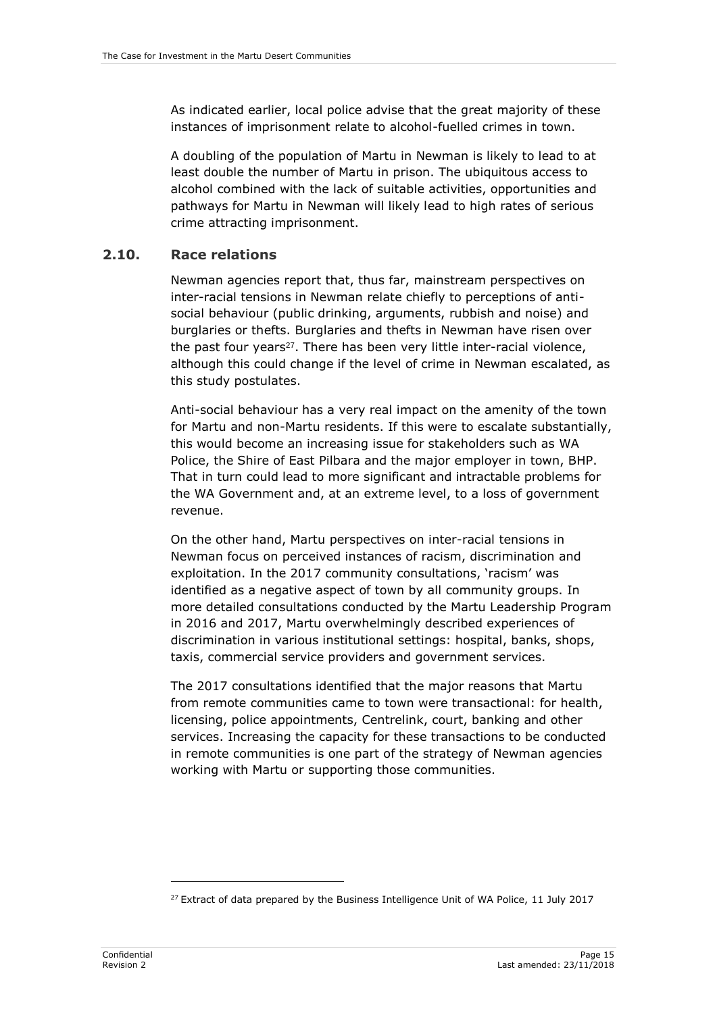As indicated earlier, local police advise that the great majority of these instances of imprisonment relate to alcohol-fuelled crimes in town.

A doubling of the population of Martu in Newman is likely to lead to at least double the number of Martu in prison. The ubiquitous access to alcohol combined with the lack of suitable activities, opportunities and pathways for Martu in Newman will likely lead to high rates of serious crime attracting imprisonment.

#### <span id="page-20-0"></span>**2.10. Race relations**

Newman agencies report that, thus far, mainstream perspectives on inter-racial tensions in Newman relate chiefly to perceptions of antisocial behaviour (public drinking, arguments, rubbish and noise) and burglaries or thefts. Burglaries and thefts in Newman have risen over the past four years<sup>27</sup>. There has been very little inter-racial violence, although this could change if the level of crime in Newman escalated, as this study postulates.

Anti-social behaviour has a very real impact on the amenity of the town for Martu and non-Martu residents. If this were to escalate substantially, this would become an increasing issue for stakeholders such as WA Police, the Shire of East Pilbara and the major employer in town, BHP. That in turn could lead to more significant and intractable problems for the WA Government and, at an extreme level, to a loss of government revenue.

On the other hand, Martu perspectives on inter-racial tensions in Newman focus on perceived instances of racism, discrimination and exploitation. In the 2017 community consultations, 'racism' was identified as a negative aspect of town by all community groups. In more detailed consultations conducted by the Martu Leadership Program in 2016 and 2017, Martu overwhelmingly described experiences of discrimination in various institutional settings: hospital, banks, shops, taxis, commercial service providers and government services.

The 2017 consultations identified that the major reasons that Martu from remote communities came to town were transactional: for health, licensing, police appointments, Centrelink, court, banking and other services. Increasing the capacity for these transactions to be conducted in remote communities is one part of the strategy of Newman agencies working with Martu or supporting those communities.

 $27$  Extract of data prepared by the Business Intelligence Unit of WA Police, 11 July 2017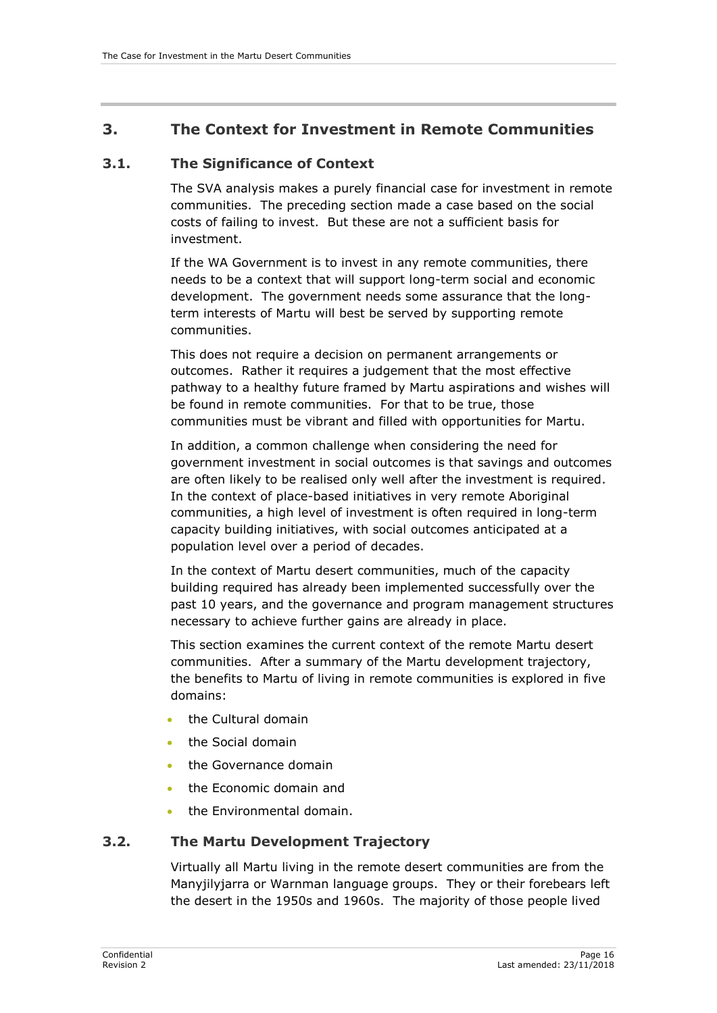## <span id="page-21-0"></span>**3. The Context for Investment in Remote Communities**

#### <span id="page-21-1"></span>**3.1. The Significance of Context**

The SVA analysis makes a purely financial case for investment in remote communities. The preceding section made a case based on the social costs of failing to invest. But these are not a sufficient basis for investment.

If the WA Government is to invest in any remote communities, there needs to be a context that will support long-term social and economic development. The government needs some assurance that the longterm interests of Martu will best be served by supporting remote communities.

This does not require a decision on permanent arrangements or outcomes. Rather it requires a judgement that the most effective pathway to a healthy future framed by Martu aspirations and wishes will be found in remote communities. For that to be true, those communities must be vibrant and filled with opportunities for Martu.

In addition, a common challenge when considering the need for government investment in social outcomes is that savings and outcomes are often likely to be realised only well after the investment is required. In the context of place-based initiatives in very remote Aboriginal communities, a high level of investment is often required in long-term capacity building initiatives, with social outcomes anticipated at a population level over a period of decades.

In the context of Martu desert communities, much of the capacity building required has already been implemented successfully over the past 10 years, and the governance and program management structures necessary to achieve further gains are already in place.

This section examines the current context of the remote Martu desert communities. After a summary of the Martu development trajectory, the benefits to Martu of living in remote communities is explored in five domains:

- the Cultural domain
- the Social domain
- the Governance domain
- the Economic domain and
- the Environmental domain.

#### <span id="page-21-2"></span>**3.2. The Martu Development Trajectory**

Virtually all Martu living in the remote desert communities are from the Manyjilyjarra or Warnman language groups. They or their forebears left the desert in the 1950s and 1960s. The majority of those people lived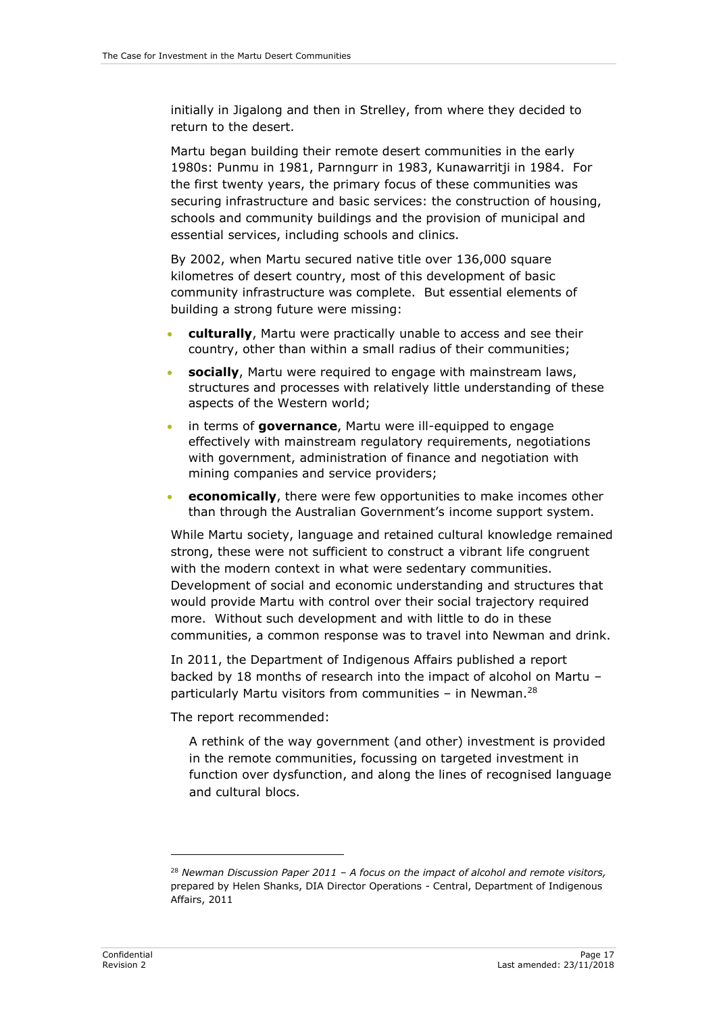initially in Jigalong and then in Strelley, from where they decided to return to the desert.

Martu began building their remote desert communities in the early 1980s: Punmu in 1981, Parnngurr in 1983, Kunawarritji in 1984. For the first twenty years, the primary focus of these communities was securing infrastructure and basic services: the construction of housing, schools and community buildings and the provision of municipal and essential services, including schools and clinics.

By 2002, when Martu secured native title over 136,000 square kilometres of desert country, most of this development of basic community infrastructure was complete. But essential elements of building a strong future were missing:

- **culturally**, Martu were practically unable to access and see their country, other than within a small radius of their communities;
- **socially**, Martu were required to engage with mainstream laws, structures and processes with relatively little understanding of these aspects of the Western world;
- in terms of **governance**, Martu were ill-equipped to engage effectively with mainstream regulatory requirements, negotiations with government, administration of finance and negotiation with mining companies and service providers;
- **economically**, there were few opportunities to make incomes other than through the Australian Government's income support system.

While Martu society, language and retained cultural knowledge remained strong, these were not sufficient to construct a vibrant life congruent with the modern context in what were sedentary communities. Development of social and economic understanding and structures that would provide Martu with control over their social trajectory required more. Without such development and with little to do in these communities, a common response was to travel into Newman and drink.

In 2011, the Department of Indigenous Affairs published a report backed by 18 months of research into the impact of alcohol on Martu – particularly Martu visitors from communities – in Newman.<sup>28</sup>

The report recommended:

A rethink of the way government (and other) investment is provided in the remote communities, focussing on targeted investment in function over dysfunction, and along the lines of recognised language and cultural blocs.

<sup>28</sup> *Newman Discussion Paper 2011 – A focus on the impact of alcohol and remote visitors,*  prepared by Helen Shanks, DIA Director Operations - Central, Department of Indigenous Affairs, 2011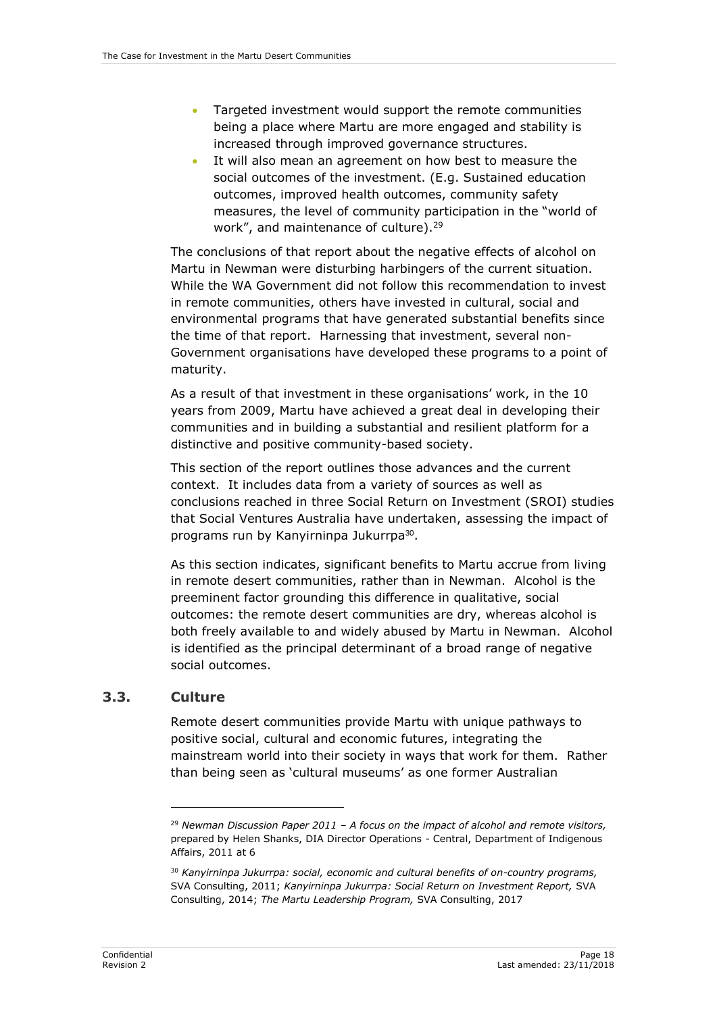- Targeted investment would support the remote communities being a place where Martu are more engaged and stability is increased through improved governance structures.
- It will also mean an agreement on how best to measure the social outcomes of the investment. (E.g. Sustained education outcomes, improved health outcomes, community safety measures, the level of community participation in the "world of work", and maintenance of culture).<sup>29</sup>

The conclusions of that report about the negative effects of alcohol on Martu in Newman were disturbing harbingers of the current situation. While the WA Government did not follow this recommendation to invest in remote communities, others have invested in cultural, social and environmental programs that have generated substantial benefits since the time of that report. Harnessing that investment, several non-Government organisations have developed these programs to a point of maturity.

As a result of that investment in these organisations' work, in the 10 years from 2009, Martu have achieved a great deal in developing their communities and in building a substantial and resilient platform for a distinctive and positive community-based society.

This section of the report outlines those advances and the current context. It includes data from a variety of sources as well as conclusions reached in three Social Return on Investment (SROI) studies that Social Ventures Australia have undertaken, assessing the impact of programs run by Kanyirninpa Jukurrpa<sup>30</sup>.

As this section indicates, significant benefits to Martu accrue from living in remote desert communities, rather than in Newman. Alcohol is the preeminent factor grounding this difference in qualitative, social outcomes: the remote desert communities are dry, whereas alcohol is both freely available to and widely abused by Martu in Newman. Alcohol is identified as the principal determinant of a broad range of negative social outcomes.

#### <span id="page-23-0"></span>**3.3. Culture**

-

Remote desert communities provide Martu with unique pathways to positive social, cultural and economic futures, integrating the mainstream world into their society in ways that work for them. Rather than being seen as 'cultural museums' as one former Australian

<sup>29</sup> *Newman Discussion Paper 2011 – A focus on the impact of alcohol and remote visitors,*  prepared by Helen Shanks, DIA Director Operations - Central, Department of Indigenous Affairs, 2011 at 6

<sup>30</sup> *Kanyirninpa Jukurrpa: social, economic and cultural benefits of on-country programs,*  SVA Consulting, 2011; *Kanyirninpa Jukurrpa: Social Return on Investment Report,* SVA Consulting, 2014; *The Martu Leadership Program,* SVA Consulting, 2017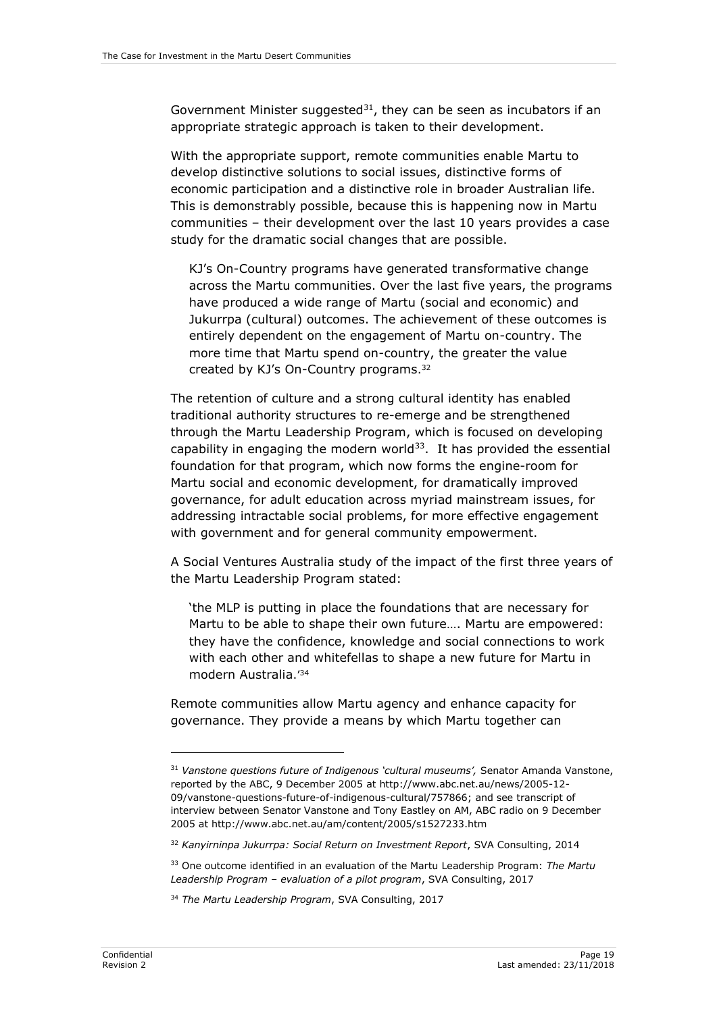Government Minister suggested $31$ , they can be seen as incubators if an appropriate strategic approach is taken to their development.

With the appropriate support, remote communities enable Martu to develop distinctive solutions to social issues, distinctive forms of economic participation and a distinctive role in broader Australian life. This is demonstrably possible, because this is happening now in Martu communities – their development over the last 10 years provides a case study for the dramatic social changes that are possible.

KJ's On-Country programs have generated transformative change across the Martu communities. Over the last five years, the programs have produced a wide range of Martu (social and economic) and Jukurrpa (cultural) outcomes. The achievement of these outcomes is entirely dependent on the engagement of Martu on-country. The more time that Martu spend on-country, the greater the value created by KJ's On-Country programs. 32

The retention of culture and a strong cultural identity has enabled traditional authority structures to re-emerge and be strengthened through the Martu Leadership Program, which is focused on developing capability in engaging the modern world $33$ . It has provided the essential foundation for that program, which now forms the engine-room for Martu social and economic development, for dramatically improved governance, for adult education across myriad mainstream issues, for addressing intractable social problems, for more effective engagement with government and for general community empowerment.

A Social Ventures Australia study of the impact of the first three years of the Martu Leadership Program stated:

'the MLP is putting in place the foundations that are necessary for Martu to be able to shape their own future…. Martu are empowered: they have the confidence, knowledge and social connections to work with each other and whitefellas to shape a new future for Martu in modern Australia.'<sup>34</sup>

Remote communities allow Martu agency and enhance capacity for governance. They provide a means by which Martu together can

<sup>31</sup> *Vanstone questions future of Indigenous 'cultural museums',* Senator Amanda Vanstone, reported by the ABC, 9 December 2005 at http://www.abc.net.au/news/2005-12- 09/vanstone-questions-future-of-indigenous-cultural/757866; and see transcript of interview between Senator Vanstone and Tony Eastley on AM, ABC radio on 9 December 2005 at http://www.abc.net.au/am/content/2005/s1527233.htm

<sup>32</sup> *Kanyirninpa Jukurrpa: Social Return on Investment Report*, SVA Consulting, 2014

<sup>33</sup> One outcome identified in an evaluation of the Martu Leadership Program: *The Martu Leadership Program – evaluation of a pilot program*, SVA Consulting, 2017

<sup>34</sup> *The Martu Leadership Program*, SVA Consulting, 2017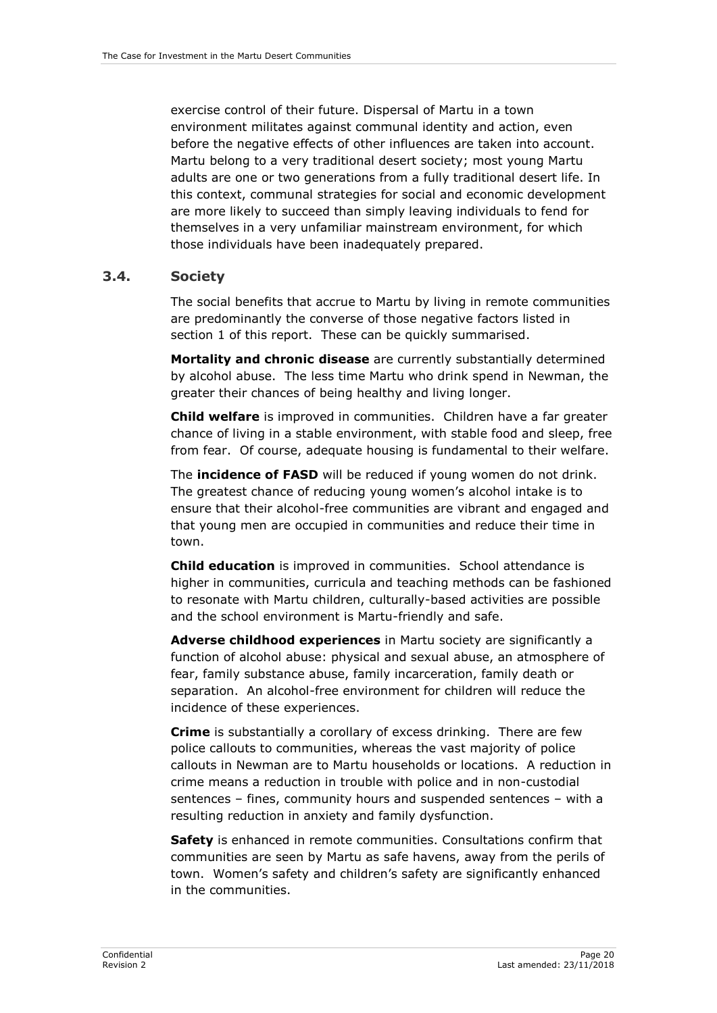exercise control of their future. Dispersal of Martu in a town environment militates against communal identity and action, even before the negative effects of other influences are taken into account. Martu belong to a very traditional desert society; most young Martu adults are one or two generations from a fully traditional desert life. In this context, communal strategies for social and economic development are more likely to succeed than simply leaving individuals to fend for themselves in a very unfamiliar mainstream environment, for which those individuals have been inadequately prepared.

#### <span id="page-25-0"></span>**3.4. Society**

The social benefits that accrue to Martu by living in remote communities are predominantly the converse of those negative factors listed in section 1 of this report. These can be quickly summarised.

**Mortality and chronic disease** are currently substantially determined by alcohol abuse. The less time Martu who drink spend in Newman, the greater their chances of being healthy and living longer.

**Child welfare** is improved in communities. Children have a far greater chance of living in a stable environment, with stable food and sleep, free from fear. Of course, adequate housing is fundamental to their welfare.

The **incidence of FASD** will be reduced if young women do not drink. The greatest chance of reducing young women's alcohol intake is to ensure that their alcohol-free communities are vibrant and engaged and that young men are occupied in communities and reduce their time in town.

**Child education** is improved in communities. School attendance is higher in communities, curricula and teaching methods can be fashioned to resonate with Martu children, culturally-based activities are possible and the school environment is Martu-friendly and safe.

**Adverse childhood experiences** in Martu society are significantly a function of alcohol abuse: physical and sexual abuse, an atmosphere of fear, family substance abuse, family incarceration, family death or separation. An alcohol-free environment for children will reduce the incidence of these experiences.

**Crime** is substantially a corollary of excess drinking. There are few police callouts to communities, whereas the vast majority of police callouts in Newman are to Martu households or locations. A reduction in crime means a reduction in trouble with police and in non-custodial sentences – fines, community hours and suspended sentences – with a resulting reduction in anxiety and family dysfunction.

**Safety** is enhanced in remote communities. Consultations confirm that communities are seen by Martu as safe havens, away from the perils of town. Women's safety and children's safety are significantly enhanced in the communities.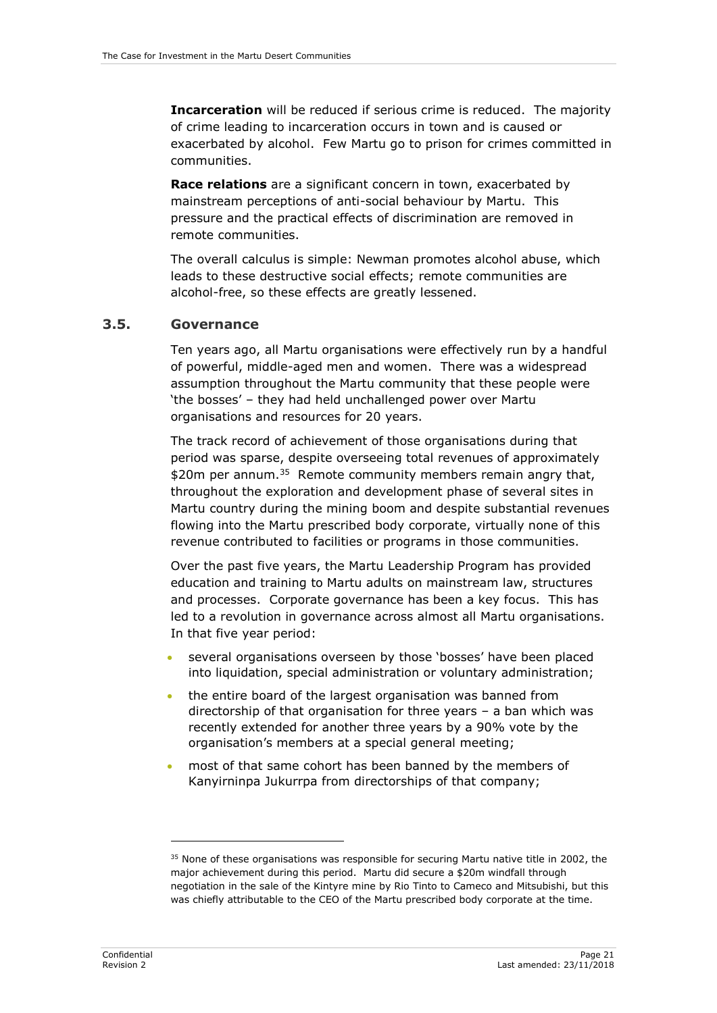**Incarceration** will be reduced if serious crime is reduced. The majority of crime leading to incarceration occurs in town and is caused or exacerbated by alcohol. Few Martu go to prison for crimes committed in communities.

**Race relations** are a significant concern in town, exacerbated by mainstream perceptions of anti-social behaviour by Martu. This pressure and the practical effects of discrimination are removed in remote communities.

The overall calculus is simple: Newman promotes alcohol abuse, which leads to these destructive social effects; remote communities are alcohol-free, so these effects are greatly lessened.

#### <span id="page-26-0"></span>**3.5. Governance**

Ten years ago, all Martu organisations were effectively run by a handful of powerful, middle-aged men and women. There was a widespread assumption throughout the Martu community that these people were 'the bosses' – they had held unchallenged power over Martu organisations and resources for 20 years.

The track record of achievement of those organisations during that period was sparse, despite overseeing total revenues of approximately \$20m per annum.<sup>35</sup> Remote community members remain angry that, throughout the exploration and development phase of several sites in Martu country during the mining boom and despite substantial revenues flowing into the Martu prescribed body corporate, virtually none of this revenue contributed to facilities or programs in those communities.

Over the past five years, the Martu Leadership Program has provided education and training to Martu adults on mainstream law, structures and processes. Corporate governance has been a key focus. This has led to a revolution in governance across almost all Martu organisations. In that five year period:

- several organisations overseen by those 'bosses' have been placed into liquidation, special administration or voluntary administration;
- the entire board of the largest organisation was banned from directorship of that organisation for three years – a ban which was recently extended for another three years by a 90% vote by the organisation's members at a special general meeting;
- most of that same cohort has been banned by the members of Kanyirninpa Jukurrpa from directorships of that company;

<sup>&</sup>lt;sup>35</sup> None of these organisations was responsible for securing Martu native title in 2002, the major achievement during this period. Martu did secure a \$20m windfall through negotiation in the sale of the Kintyre mine by Rio Tinto to Cameco and Mitsubishi, but this was chiefly attributable to the CEO of the Martu prescribed body corporate at the time.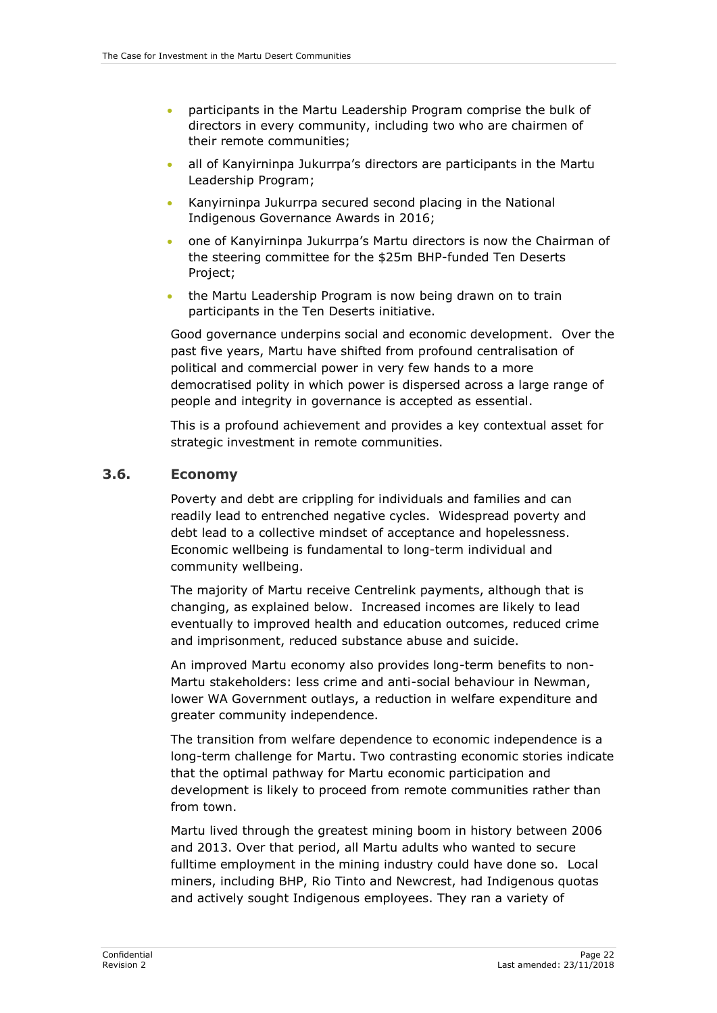- participants in the Martu Leadership Program comprise the bulk of directors in every community, including two who are chairmen of their remote communities;
- all of Kanyirninpa Jukurrpa's directors are participants in the Martu Leadership Program;
- Kanyirninpa Jukurrpa secured second placing in the National Indigenous Governance Awards in 2016;
- one of Kanyirninpa Jukurrpa's Martu directors is now the Chairman of the steering committee for the \$25m BHP-funded Ten Deserts Project;
- the Martu Leadership Program is now being drawn on to train participants in the Ten Deserts initiative.

Good governance underpins social and economic development. Over the past five years, Martu have shifted from profound centralisation of political and commercial power in very few hands to a more democratised polity in which power is dispersed across a large range of people and integrity in governance is accepted as essential.

This is a profound achievement and provides a key contextual asset for strategic investment in remote communities.

#### <span id="page-27-0"></span>**3.6. Economy**

Poverty and debt are crippling for individuals and families and can readily lead to entrenched negative cycles. Widespread poverty and debt lead to a collective mindset of acceptance and hopelessness. Economic wellbeing is fundamental to long-term individual and community wellbeing.

The majority of Martu receive Centrelink payments, although that is changing, as explained below. Increased incomes are likely to lead eventually to improved health and education outcomes, reduced crime and imprisonment, reduced substance abuse and suicide.

An improved Martu economy also provides long-term benefits to non-Martu stakeholders: less crime and anti-social behaviour in Newman, lower WA Government outlays, a reduction in welfare expenditure and greater community independence.

The transition from welfare dependence to economic independence is a long-term challenge for Martu. Two contrasting economic stories indicate that the optimal pathway for Martu economic participation and development is likely to proceed from remote communities rather than from town.

Martu lived through the greatest mining boom in history between 2006 and 2013. Over that period, all Martu adults who wanted to secure fulltime employment in the mining industry could have done so. Local miners, including BHP, Rio Tinto and Newcrest, had Indigenous quotas and actively sought Indigenous employees. They ran a variety of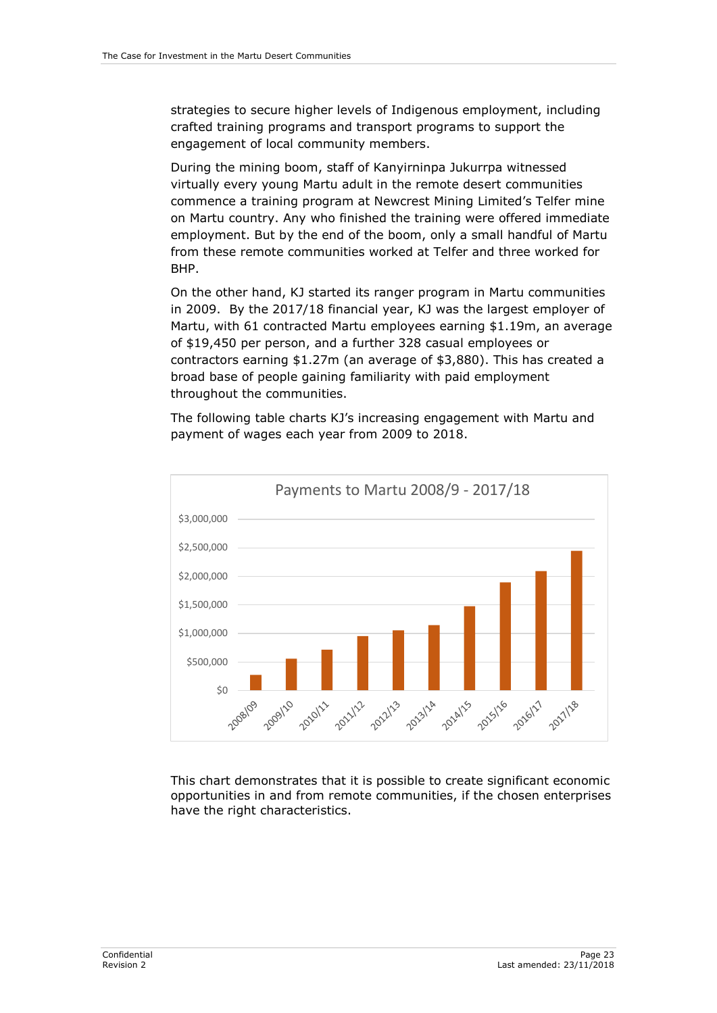strategies to secure higher levels of Indigenous employment, including crafted training programs and transport programs to support the engagement of local community members.

During the mining boom, staff of Kanyirninpa Jukurrpa witnessed virtually every young Martu adult in the remote desert communities commence a training program at Newcrest Mining Limited's Telfer mine on Martu country. Any who finished the training were offered immediate employment. But by the end of the boom, only a small handful of Martu from these remote communities worked at Telfer and three worked for BHP.

On the other hand, KJ started its ranger program in Martu communities in 2009. By the 2017/18 financial year, KJ was the largest employer of Martu, with 61 contracted Martu employees earning \$1.19m, an average of \$19,450 per person, and a further 328 casual employees or contractors earning \$1.27m (an average of \$3,880). This has created a broad base of people gaining familiarity with paid employment throughout the communities.

The following table charts KJ's increasing engagement with Martu and payment of wages each year from 2009 to 2018.



This chart demonstrates that it is possible to create significant economic opportunities in and from remote communities, if the chosen enterprises have the right characteristics.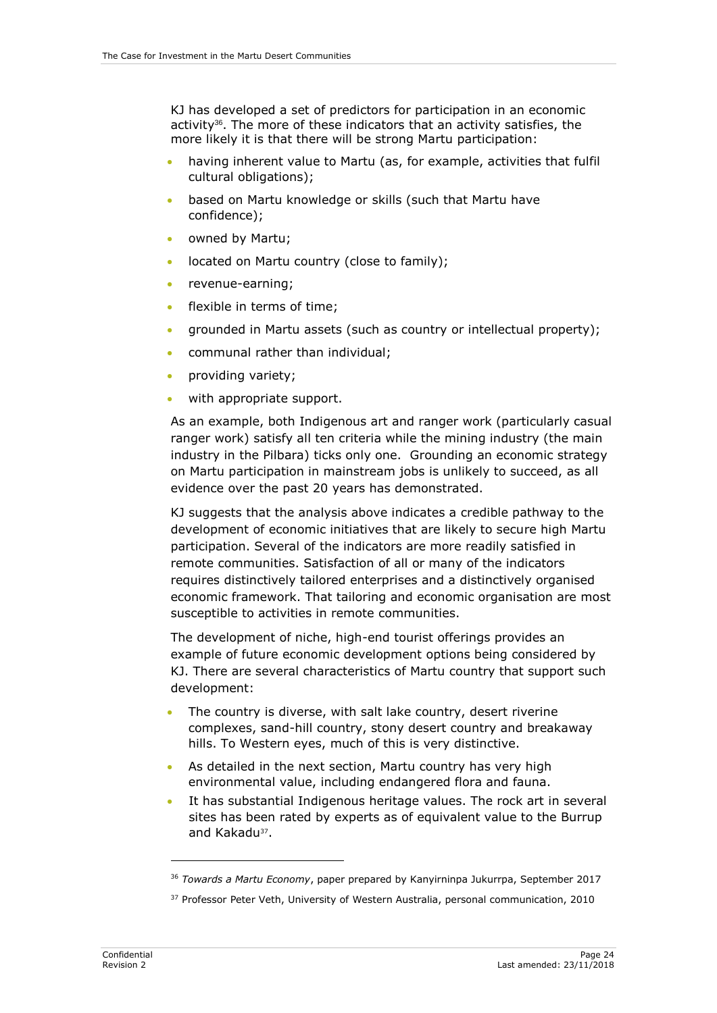KJ has developed a set of predictors for participation in an economic activity36. The more of these indicators that an activity satisfies, the more likely it is that there will be strong Martu participation:

- having inherent value to Martu (as, for example, activities that fulfil cultural obligations);
- based on Martu knowledge or skills (such that Martu have confidence);
- owned by Martu;
- located on Martu country (close to family):
- revenue-earning:
- flexible in terms of time;
- grounded in Martu assets (such as country or intellectual property);
- communal rather than individual;
- providing variety;
- with appropriate support.

As an example, both Indigenous art and ranger work (particularly casual ranger work) satisfy all ten criteria while the mining industry (the main industry in the Pilbara) ticks only one. Grounding an economic strategy on Martu participation in mainstream jobs is unlikely to succeed, as all evidence over the past 20 years has demonstrated.

KJ suggests that the analysis above indicates a credible pathway to the development of economic initiatives that are likely to secure high Martu participation. Several of the indicators are more readily satisfied in remote communities. Satisfaction of all or many of the indicators requires distinctively tailored enterprises and a distinctively organised economic framework. That tailoring and economic organisation are most susceptible to activities in remote communities.

The development of niche, high-end tourist offerings provides an example of future economic development options being considered by KJ. There are several characteristics of Martu country that support such development:

- The country is diverse, with salt lake country, desert riverine complexes, sand-hill country, stony desert country and breakaway hills. To Western eyes, much of this is very distinctive.
- As detailed in the next section, Martu country has very high environmental value, including endangered flora and fauna.
- It has substantial Indigenous heritage values. The rock art in several sites has been rated by experts as of equivalent value to the Burrup and Kakadu<sup>37</sup>.

<sup>36</sup> *Towards a Martu Economy*, paper prepared by Kanyirninpa Jukurrpa, September 2017

<sup>&</sup>lt;sup>37</sup> Professor Peter Veth, University of Western Australia, personal communication, 2010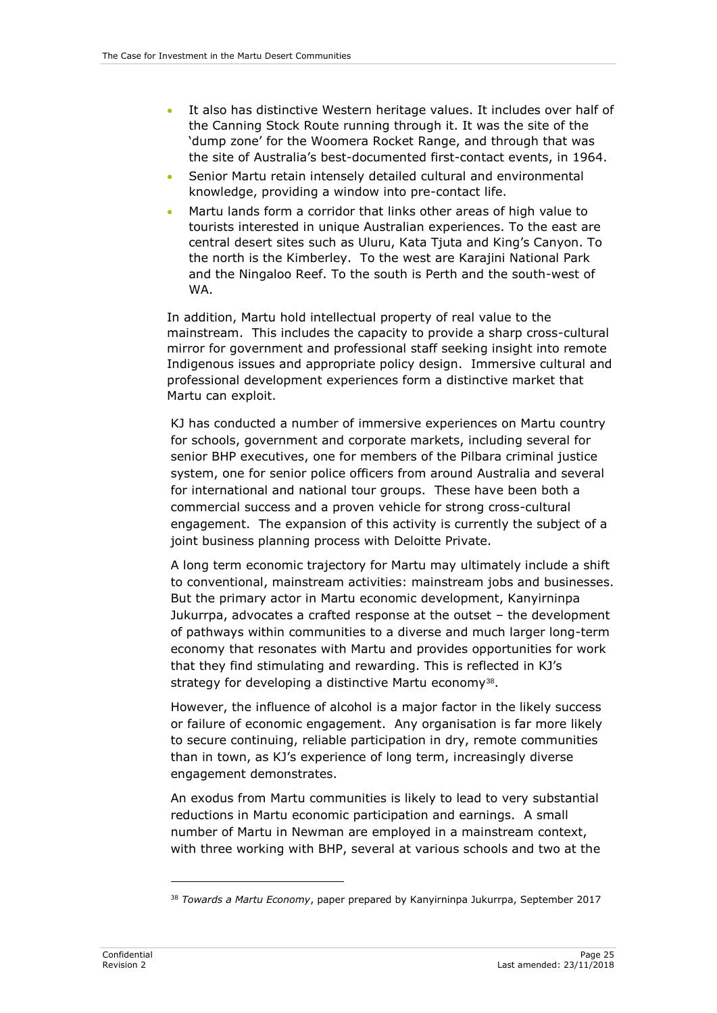- It also has distinctive Western heritage values. It includes over half of the Canning Stock Route running through it. It was the site of the 'dump zone' for the Woomera Rocket Range, and through that was the site of Australia's best-documented first-contact events, in 1964.
- Senior Martu retain intensely detailed cultural and environmental knowledge, providing a window into pre-contact life.
- Martu lands form a corridor that links other areas of high value to tourists interested in unique Australian experiences. To the east are central desert sites such as Uluru, Kata Tjuta and King's Canyon. To the north is the Kimberley. To the west are Karajini National Park and the Ningaloo Reef. To the south is Perth and the south-west of WA.

In addition, Martu hold intellectual property of real value to the mainstream. This includes the capacity to provide a sharp cross-cultural mirror for government and professional staff seeking insight into remote Indigenous issues and appropriate policy design. Immersive cultural and professional development experiences form a distinctive market that Martu can exploit.

KJ has conducted a number of immersive experiences on Martu country for schools, government and corporate markets, including several for senior BHP executives, one for members of the Pilbara criminal justice system, one for senior police officers from around Australia and several for international and national tour groups. These have been both a commercial success and a proven vehicle for strong cross-cultural engagement. The expansion of this activity is currently the subject of a joint business planning process with Deloitte Private.

A long term economic trajectory for Martu may ultimately include a shift to conventional, mainstream activities: mainstream jobs and businesses. But the primary actor in Martu economic development, Kanyirninpa Jukurrpa, advocates a crafted response at the outset – the development of pathways within communities to a diverse and much larger long-term economy that resonates with Martu and provides opportunities for work that they find stimulating and rewarding. This is reflected in KJ's strategy for developing a distinctive Martu economy<sup>38</sup>.

However, the influence of alcohol is a major factor in the likely success or failure of economic engagement. Any organisation is far more likely to secure continuing, reliable participation in dry, remote communities than in town, as KJ's experience of long term, increasingly diverse engagement demonstrates.

An exodus from Martu communities is likely to lead to very substantial reductions in Martu economic participation and earnings. A small number of Martu in Newman are employed in a mainstream context, with three working with BHP, several at various schools and two at the

<sup>38</sup> *Towards a Martu Economy*, paper prepared by Kanyirninpa Jukurrpa, September 2017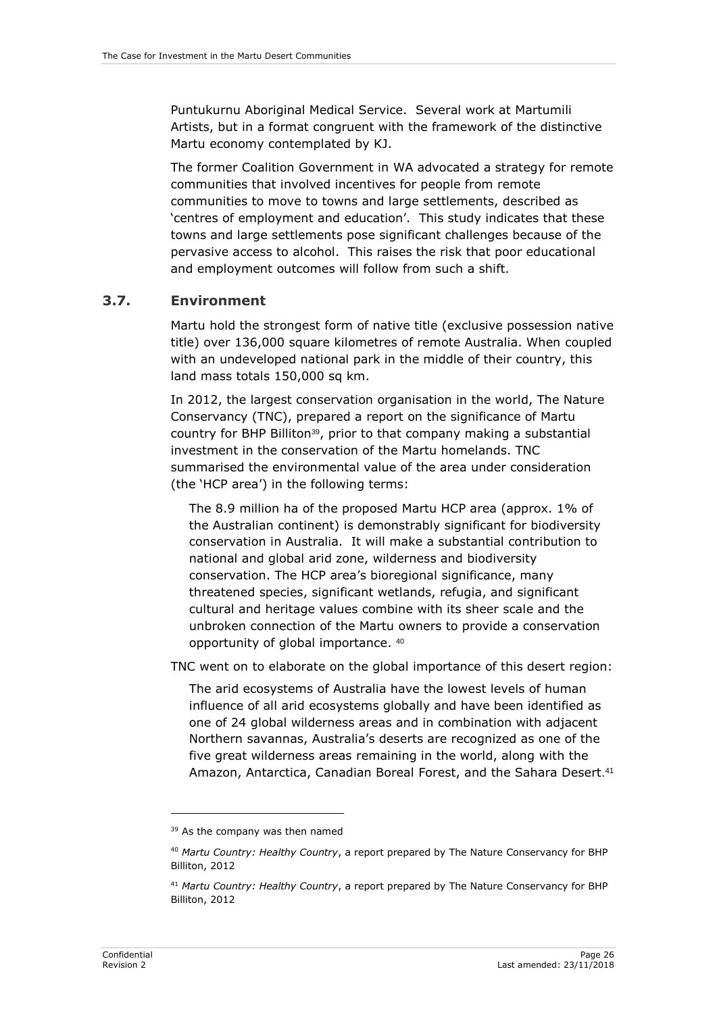Puntukurnu Aboriginal Medical Service. Several work at Martumili Artists, but in a format congruent with the framework of the distinctive Martu economy contemplated by KJ.

The former Coalition Government in WA advocated a strategy for remote communities that involved incentives for people from remote communities to move to towns and large settlements, described as 'centres of employment and education'. This study indicates that these towns and large settlements pose significant challenges because of the pervasive access to alcohol. This raises the risk that poor educational and employment outcomes will follow from such a shift.

#### <span id="page-31-0"></span>**3.7. Environment**

Martu hold the strongest form of native title (exclusive possession native title) over 136,000 square kilometres of remote Australia. When coupled with an undeveloped national park in the middle of their country, this land mass totals 150,000 sq km.

In 2012, the largest conservation organisation in the world, The Nature Conservancy (TNC), prepared a report on the significance of Martu country for BHP Billiton<sup>39</sup>, prior to that company making a substantial investment in the conservation of the Martu homelands. TNC summarised the environmental value of the area under consideration (the 'HCP area') in the following terms:

The 8.9 million ha of the proposed Martu HCP area (approx. 1% of the Australian continent) is demonstrably significant for biodiversity conservation in Australia. It will make a substantial contribution to national and global arid zone, wilderness and biodiversity conservation. The HCP area's bioregional significance, many threatened species, significant wetlands, refugia, and significant cultural and heritage values combine with its sheer scale and the unbroken connection of the Martu owners to provide a conservation opportunity of global importance. 40

TNC went on to elaborate on the global importance of this desert region:

The arid ecosystems of Australia have the lowest levels of human influence of all arid ecosystems globally and have been identified as one of 24 global wilderness areas and in combination with adjacent Northern savannas, Australia's deserts are recognized as one of the five great wilderness areas remaining in the world, along with the Amazon, Antarctica, Canadian Boreal Forest, and the Sahara Desert. 41

<sup>&</sup>lt;sup>39</sup> As the company was then named

<sup>40</sup> *Martu Country: Healthy Country*, a report prepared by The Nature Conservancy for BHP Billiton, 2012

<sup>41</sup> *Martu Country: Healthy Country*, a report prepared by The Nature Conservancy for BHP Billiton, 2012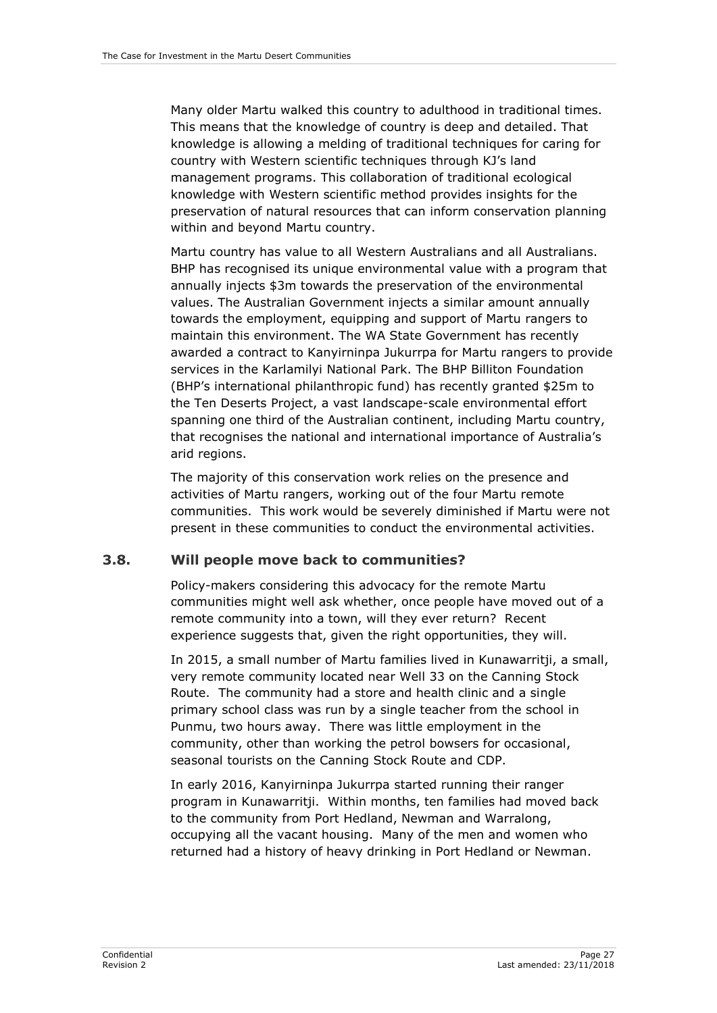Many older Martu walked this country to adulthood in traditional times. This means that the knowledge of country is deep and detailed. That knowledge is allowing a melding of traditional techniques for caring for country with Western scientific techniques through KJ's land management programs. This collaboration of traditional ecological knowledge with Western scientific method provides insights for the preservation of natural resources that can inform conservation planning within and beyond Martu country.

Martu country has value to all Western Australians and all Australians. BHP has recognised its unique environmental value with a program that annually injects \$3m towards the preservation of the environmental values. The Australian Government injects a similar amount annually towards the employment, equipping and support of Martu rangers to maintain this environment. The WA State Government has recently awarded a contract to Kanyirninpa Jukurrpa for Martu rangers to provide services in the Karlamilyi National Park. The BHP Billiton Foundation (BHP's international philanthropic fund) has recently granted \$25m to the Ten Deserts Project, a vast landscape-scale environmental effort spanning one third of the Australian continent, including Martu country, that recognises the national and international importance of Australia's arid regions.

The majority of this conservation work relies on the presence and activities of Martu rangers, working out of the four Martu remote communities. This work would be severely diminished if Martu were not present in these communities to conduct the environmental activities.

#### <span id="page-32-0"></span>**3.8. Will people move back to communities?**

Policy-makers considering this advocacy for the remote Martu communities might well ask whether, once people have moved out of a remote community into a town, will they ever return? Recent experience suggests that, given the right opportunities, they will.

In 2015, a small number of Martu families lived in Kunawarritji, a small, very remote community located near Well 33 on the Canning Stock Route. The community had a store and health clinic and a single primary school class was run by a single teacher from the school in Punmu, two hours away. There was little employment in the community, other than working the petrol bowsers for occasional, seasonal tourists on the Canning Stock Route and CDP.

In early 2016, Kanyirninpa Jukurrpa started running their ranger program in Kunawarritji. Within months, ten families had moved back to the community from Port Hedland, Newman and Warralong, occupying all the vacant housing. Many of the men and women who returned had a history of heavy drinking in Port Hedland or Newman.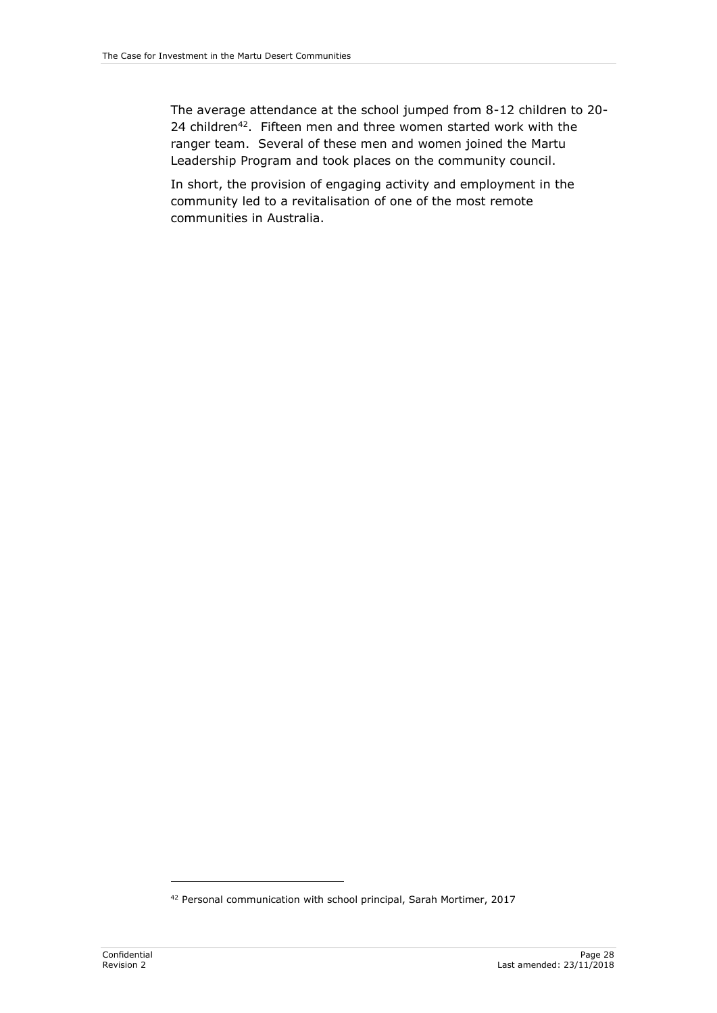The average attendance at the school jumped from 8-12 children to 20- 24 children<sup>42</sup>. Fifteen men and three women started work with the ranger team. Several of these men and women joined the Martu Leadership Program and took places on the community council.

In short, the provision of engaging activity and employment in the community led to a revitalisation of one of the most remote communities in Australia.

<sup>42</sup> Personal communication with school principal, Sarah Mortimer, 2017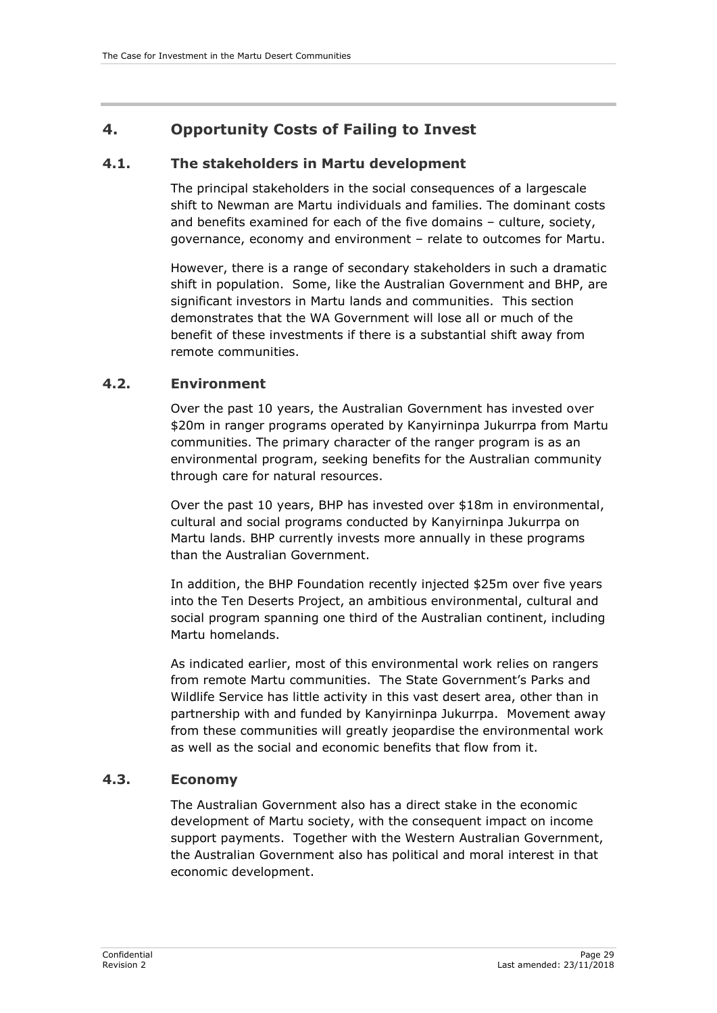## <span id="page-34-0"></span>**4. Opportunity Costs of Failing to Invest**

#### <span id="page-34-1"></span>**4.1. The stakeholders in Martu development**

The principal stakeholders in the social consequences of a largescale shift to Newman are Martu individuals and families. The dominant costs and benefits examined for each of the five domains – culture, society, governance, economy and environment – relate to outcomes for Martu.

However, there is a range of secondary stakeholders in such a dramatic shift in population. Some, like the Australian Government and BHP, are significant investors in Martu lands and communities. This section demonstrates that the WA Government will lose all or much of the benefit of these investments if there is a substantial shift away from remote communities.

#### <span id="page-34-2"></span>**4.2. Environment**

Over the past 10 years, the Australian Government has invested over \$20m in ranger programs operated by Kanyirninpa Jukurrpa from Martu communities. The primary character of the ranger program is as an environmental program, seeking benefits for the Australian community through care for natural resources.

Over the past 10 years, BHP has invested over \$18m in environmental, cultural and social programs conducted by Kanyirninpa Jukurrpa on Martu lands. BHP currently invests more annually in these programs than the Australian Government.

In addition, the BHP Foundation recently injected \$25m over five years into the Ten Deserts Project, an ambitious environmental, cultural and social program spanning one third of the Australian continent, including Martu homelands.

As indicated earlier, most of this environmental work relies on rangers from remote Martu communities. The State Government's Parks and Wildlife Service has little activity in this vast desert area, other than in partnership with and funded by Kanyirninpa Jukurrpa. Movement away from these communities will greatly jeopardise the environmental work as well as the social and economic benefits that flow from it.

#### <span id="page-34-3"></span>**4.3. Economy**

The Australian Government also has a direct stake in the economic development of Martu society, with the consequent impact on income support payments. Together with the Western Australian Government, the Australian Government also has political and moral interest in that economic development.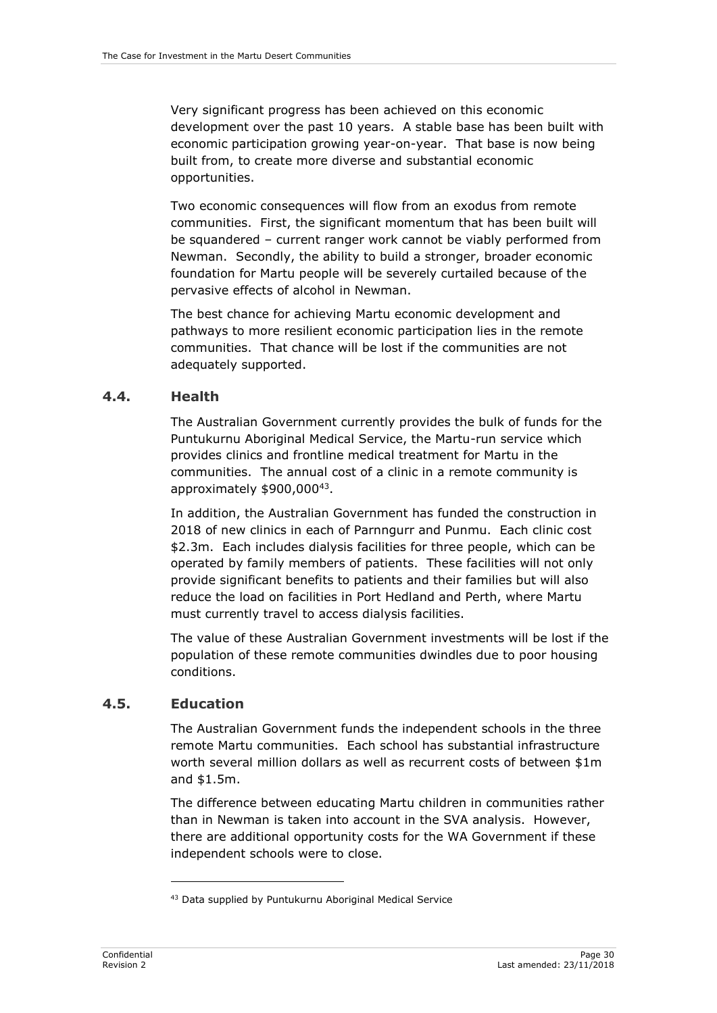Very significant progress has been achieved on this economic development over the past 10 years. A stable base has been built with economic participation growing year-on-year. That base is now being built from, to create more diverse and substantial economic opportunities.

Two economic consequences will flow from an exodus from remote communities. First, the significant momentum that has been built will be squandered – current ranger work cannot be viably performed from Newman. Secondly, the ability to build a stronger, broader economic foundation for Martu people will be severely curtailed because of the pervasive effects of alcohol in Newman.

The best chance for achieving Martu economic development and pathways to more resilient economic participation lies in the remote communities. That chance will be lost if the communities are not adequately supported.

#### <span id="page-35-0"></span>**4.4. Health**

The Australian Government currently provides the bulk of funds for the Puntukurnu Aboriginal Medical Service, the Martu-run service which provides clinics and frontline medical treatment for Martu in the communities. The annual cost of a clinic in a remote community is approximately \$900,000<sup>43</sup>.

In addition, the Australian Government has funded the construction in 2018 of new clinics in each of Parnngurr and Punmu. Each clinic cost \$2.3m. Each includes dialysis facilities for three people, which can be operated by family members of patients. These facilities will not only provide significant benefits to patients and their families but will also reduce the load on facilities in Port Hedland and Perth, where Martu must currently travel to access dialysis facilities.

The value of these Australian Government investments will be lost if the population of these remote communities dwindles due to poor housing conditions.

#### <span id="page-35-1"></span>**4.5. Education**

-

The Australian Government funds the independent schools in the three remote Martu communities. Each school has substantial infrastructure worth several million dollars as well as recurrent costs of between \$1m and \$1.5m.

The difference between educating Martu children in communities rather than in Newman is taken into account in the SVA analysis. However, there are additional opportunity costs for the WA Government if these independent schools were to close.

<sup>43</sup> Data supplied by Puntukurnu Aboriginal Medical Service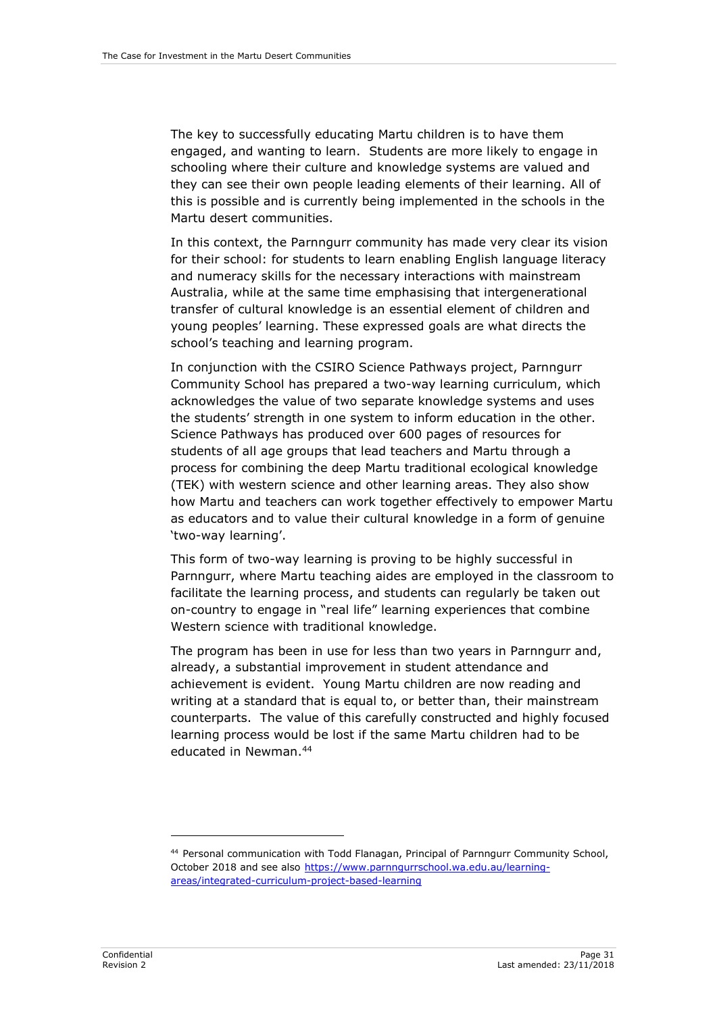The key to successfully educating Martu children is to have them engaged, and wanting to learn. Students are more likely to engage in schooling where their culture and knowledge systems are valued and they can see their own people leading elements of their learning. All of this is possible and is currently being implemented in the schools in the Martu desert communities.

In this context, the Parnngurr community has made very clear its vision for their school: for students to learn enabling English language literacy and numeracy skills for the necessary interactions with mainstream Australia, while at the same time emphasising that intergenerational transfer of cultural knowledge is an essential element of children and young peoples' learning. These expressed goals are what directs the school's teaching and learning program.

In conjunction with the CSIRO Science Pathways project, Parnngurr Community School has prepared a two-way learning curriculum, which acknowledges the value of two separate knowledge systems and uses the students' strength in one system to inform education in the other. Science Pathways has produced over 600 pages of resources for students of all age groups that lead teachers and Martu through a process for combining the deep Martu traditional ecological knowledge (TEK) with western science and other learning areas. They also show how Martu and teachers can work together effectively to empower Martu as educators and to value their cultural knowledge in a form of genuine 'two-way learning'.

This form of two-way learning is proving to be highly successful in Parnngurr, where Martu teaching aides are employed in the classroom to facilitate the learning process, and students can regularly be taken out on-country to engage in "real life" learning experiences that combine Western science with traditional knowledge.

The program has been in use for less than two years in Parnngurr and, already, a substantial improvement in student attendance and achievement is evident. Young Martu children are now reading and writing at a standard that is equal to, or better than, their mainstream counterparts. The value of this carefully constructed and highly focused learning process would be lost if the same Martu children had to be educated in Newman.<sup>44</sup>

<sup>44</sup> Personal communication with Todd Flanagan, Principal of Parnngurr Community School, October 2018 and see also [https://www.parnngurrschool.wa.edu.au/learning](https://www.parnngurrschool.wa.edu.au/learning-areas/integrated-curriculum-project-based-learning)[areas/integrated-curriculum-project-based-learning](https://www.parnngurrschool.wa.edu.au/learning-areas/integrated-curriculum-project-based-learning)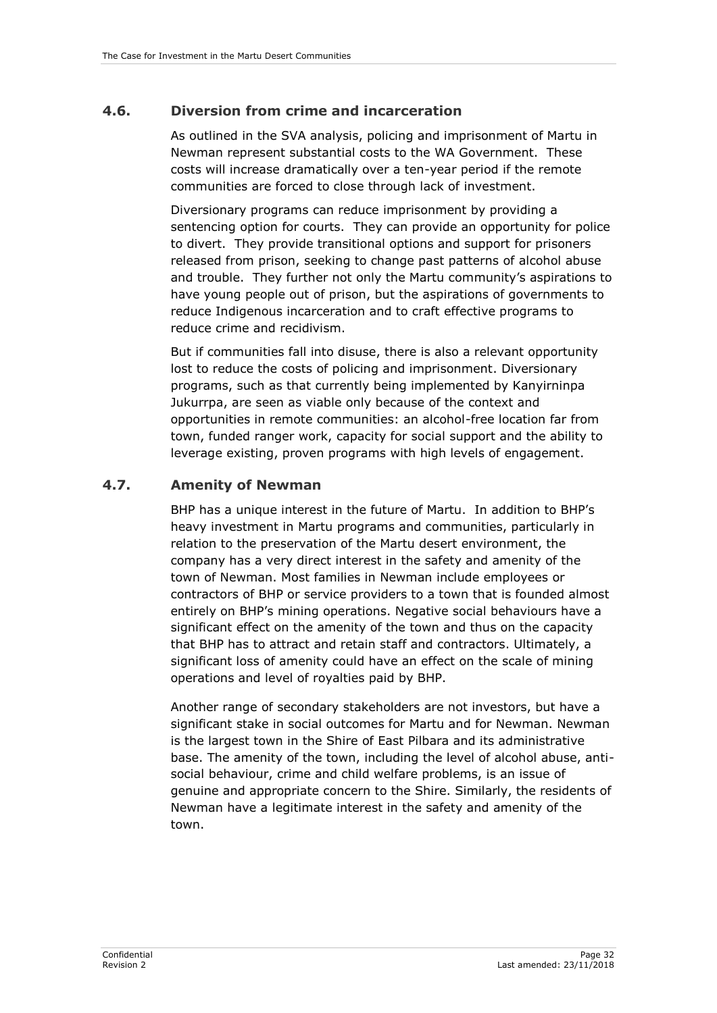# <span id="page-37-0"></span>**4.6. Diversion from crime and incarceration**

As outlined in the SVA analysis, policing and imprisonment of Martu in Newman represent substantial costs to the WA Government. These costs will increase dramatically over a ten-year period if the remote communities are forced to close through lack of investment.

Diversionary programs can reduce imprisonment by providing a sentencing option for courts. They can provide an opportunity for police to divert. They provide transitional options and support for prisoners released from prison, seeking to change past patterns of alcohol abuse and trouble. They further not only the Martu community's aspirations to have young people out of prison, but the aspirations of governments to reduce Indigenous incarceration and to craft effective programs to reduce crime and recidivism.

But if communities fall into disuse, there is also a relevant opportunity lost to reduce the costs of policing and imprisonment. Diversionary programs, such as that currently being implemented by Kanyirninpa Jukurrpa, are seen as viable only because of the context and opportunities in remote communities: an alcohol-free location far from town, funded ranger work, capacity for social support and the ability to leverage existing, proven programs with high levels of engagement.

# <span id="page-37-1"></span>**4.7. Amenity of Newman**

BHP has a unique interest in the future of Martu. In addition to BHP's heavy investment in Martu programs and communities, particularly in relation to the preservation of the Martu desert environment, the company has a very direct interest in the safety and amenity of the town of Newman. Most families in Newman include employees or contractors of BHP or service providers to a town that is founded almost entirely on BHP's mining operations. Negative social behaviours have a significant effect on the amenity of the town and thus on the capacity that BHP has to attract and retain staff and contractors. Ultimately, a significant loss of amenity could have an effect on the scale of mining operations and level of royalties paid by BHP.

Another range of secondary stakeholders are not investors, but have a significant stake in social outcomes for Martu and for Newman. Newman is the largest town in the Shire of East Pilbara and its administrative base. The amenity of the town, including the level of alcohol abuse, antisocial behaviour, crime and child welfare problems, is an issue of genuine and appropriate concern to the Shire. Similarly, the residents of Newman have a legitimate interest in the safety and amenity of the town.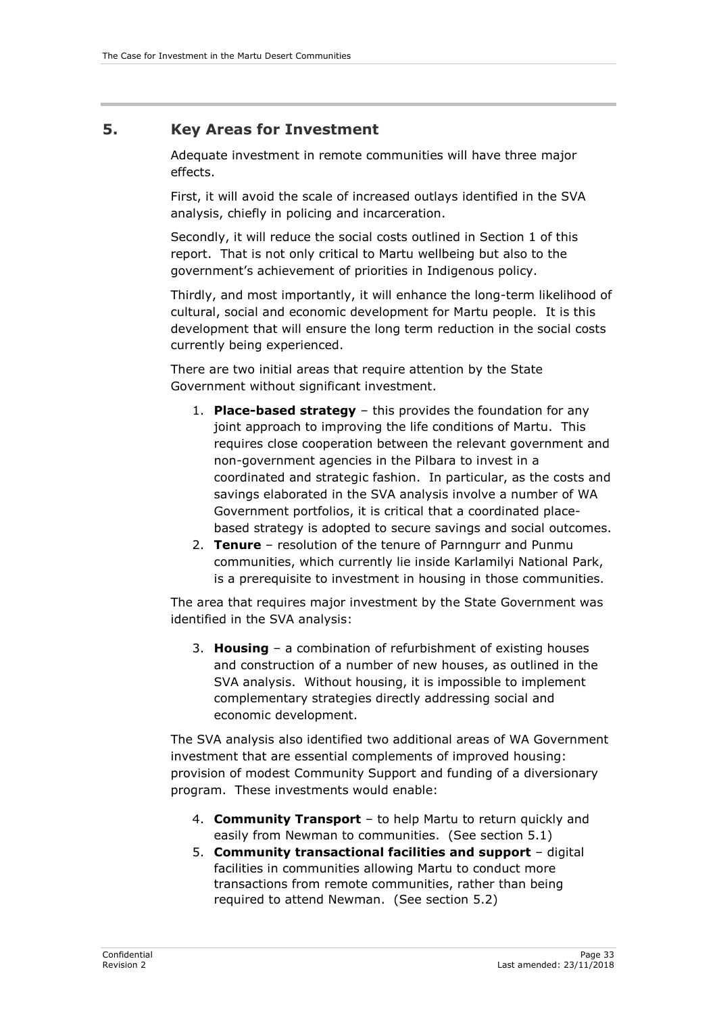## <span id="page-38-0"></span>**5. Key Areas for Investment**

Adequate investment in remote communities will have three major effects.

First, it will avoid the scale of increased outlays identified in the SVA analysis, chiefly in policing and incarceration.

Secondly, it will reduce the social costs outlined in Section 1 of this report. That is not only critical to Martu wellbeing but also to the government's achievement of priorities in Indigenous policy.

Thirdly, and most importantly, it will enhance the long-term likelihood of cultural, social and economic development for Martu people. It is this development that will ensure the long term reduction in the social costs currently being experienced.

There are two initial areas that require attention by the State Government without significant investment.

- 1. **Place-based strategy** this provides the foundation for any joint approach to improving the life conditions of Martu. This requires close cooperation between the relevant government and non-government agencies in the Pilbara to invest in a coordinated and strategic fashion. In particular, as the costs and savings elaborated in the SVA analysis involve a number of WA Government portfolios, it is critical that a coordinated placebased strategy is adopted to secure savings and social outcomes.
- 2. **Tenure** resolution of the tenure of Parnngurr and Punmu communities, which currently lie inside Karlamilyi National Park, is a prerequisite to investment in housing in those communities.

The area that requires major investment by the State Government was identified in the SVA analysis:

3. **Housing** – a combination of refurbishment of existing houses and construction of a number of new houses, as outlined in the SVA analysis. Without housing, it is impossible to implement complementary strategies directly addressing social and economic development.

The SVA analysis also identified two additional areas of WA Government investment that are essential complements of improved housing: provision of modest Community Support and funding of a diversionary program. These investments would enable:

- 4. **Community Transport** to help Martu to return quickly and easily from Newman to communities. (See section 5.1)
- 5. **Community transactional facilities and support** digital facilities in communities allowing Martu to conduct more transactions from remote communities, rather than being required to attend Newman. (See section 5.2)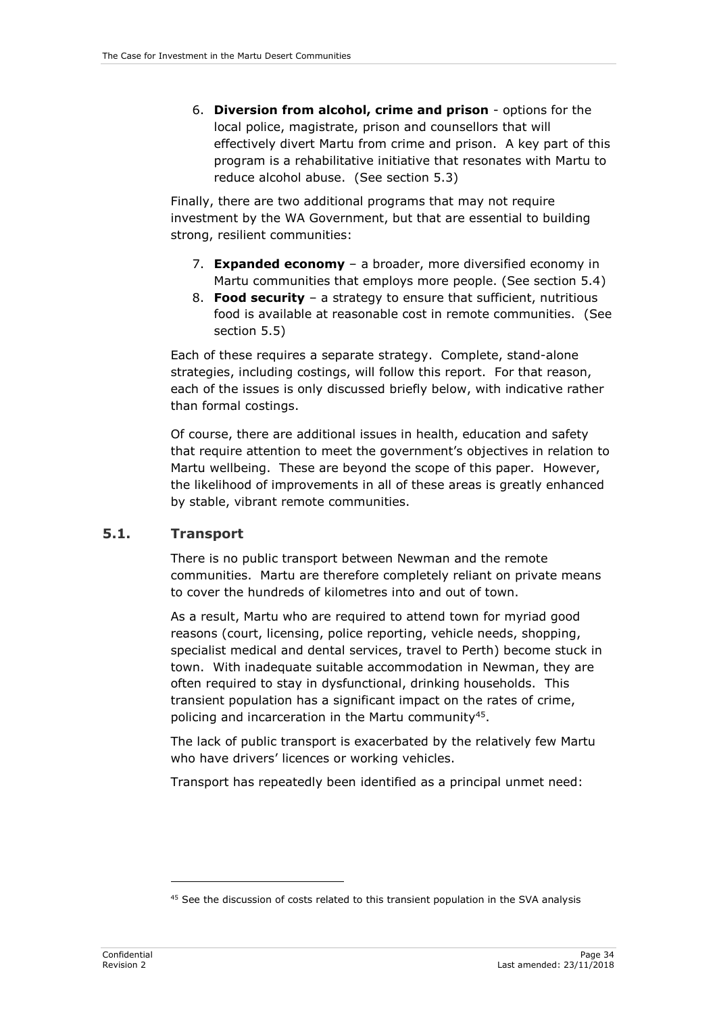6. **Diversion from alcohol, crime and prison** - options for the local police, magistrate, prison and counsellors that will effectively divert Martu from crime and prison. A key part of this program is a rehabilitative initiative that resonates with Martu to reduce alcohol abuse. (See section 5.3)

Finally, there are two additional programs that may not require investment by the WA Government, but that are essential to building strong, resilient communities:

- 7. **Expanded economy** a broader, more diversified economy in Martu communities that employs more people. (See section 5.4)
- 8. **Food security** a strategy to ensure that sufficient, nutritious food is available at reasonable cost in remote communities. (See section 5.5)

Each of these requires a separate strategy. Complete, stand-alone strategies, including costings, will follow this report. For that reason, each of the issues is only discussed briefly below, with indicative rather than formal costings.

Of course, there are additional issues in health, education and safety that require attention to meet the government's objectives in relation to Martu wellbeing. These are beyond the scope of this paper. However, the likelihood of improvements in all of these areas is greatly enhanced by stable, vibrant remote communities.

#### <span id="page-39-0"></span>**5.1. Transport**

There is no public transport between Newman and the remote communities. Martu are therefore completely reliant on private means to cover the hundreds of kilometres into and out of town.

As a result, Martu who are required to attend town for myriad good reasons (court, licensing, police reporting, vehicle needs, shopping, specialist medical and dental services, travel to Perth) become stuck in town. With inadequate suitable accommodation in Newman, they are often required to stay in dysfunctional, drinking households. This transient population has a significant impact on the rates of crime, policing and incarceration in the Martu community<sup>45</sup>.

The lack of public transport is exacerbated by the relatively few Martu who have drivers' licences or working vehicles.

Transport has repeatedly been identified as a principal unmet need:

<sup>&</sup>lt;sup>45</sup> See the discussion of costs related to this transient population in the SVA analysis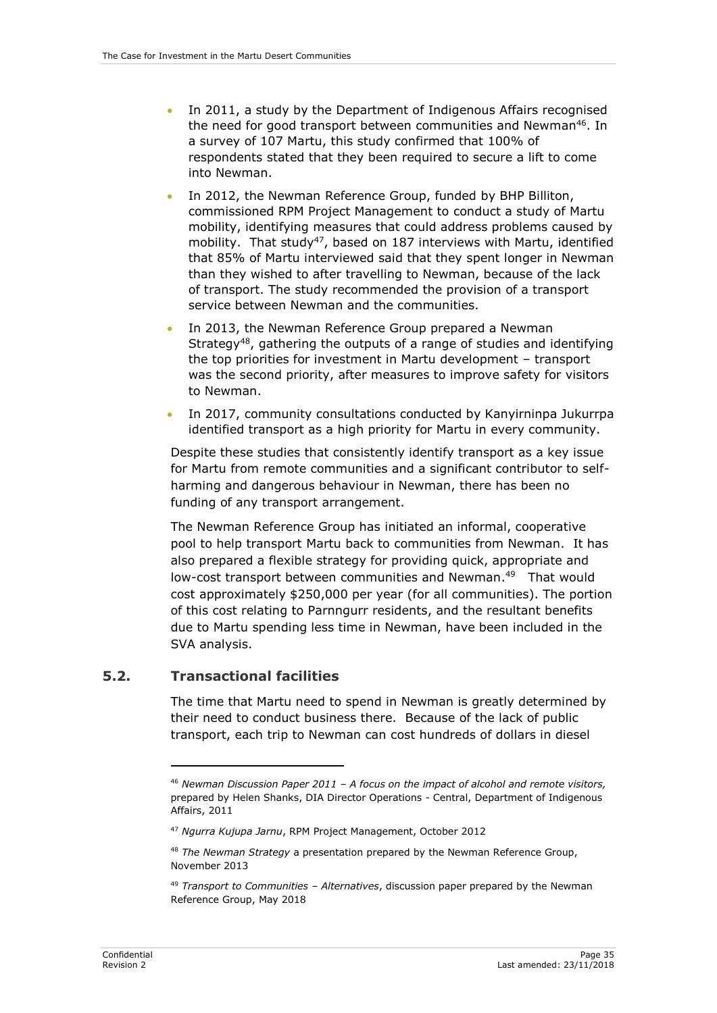- In 2011, a study by the Department of Indigenous Affairs recognised the need for good transport between communities and Newman<sup>46</sup>. In a survey of 107 Martu, this study confirmed that 100% of respondents stated that they been required to secure a lift to come into Newman.
- In 2012, the Newman Reference Group, funded by BHP Billiton, commissioned RPM Project Management to conduct a study of Martu mobility, identifying measures that could address problems caused by mobility. That study<sup>47</sup>, based on 187 interviews with Martu, identified that 85% of Martu interviewed said that they spent longer in Newman than they wished to after travelling to Newman, because of the lack of transport. The study recommended the provision of a transport service between Newman and the communities.
- In 2013, the Newman Reference Group prepared a Newman Strategy<sup>48</sup>, gathering the outputs of a range of studies and identifying the top priorities for investment in Martu development – transport was the second priority, after measures to improve safety for visitors to Newman.
- In 2017, community consultations conducted by Kanyirninpa Jukurrpa identified transport as a high priority for Martu in every community.

Despite these studies that consistently identify transport as a key issue for Martu from remote communities and a significant contributor to selfharming and dangerous behaviour in Newman, there has been no funding of any transport arrangement.

The Newman Reference Group has initiated an informal, cooperative pool to help transport Martu back to communities from Newman. It has also prepared a flexible strategy for providing quick, appropriate and low-cost transport between communities and Newman. 49 That would cost approximately \$250,000 per year (for all communities). The portion of this cost relating to Parnngurr residents, and the resultant benefits due to Martu spending less time in Newman, have been included in the SVA analysis.

#### <span id="page-40-0"></span>**5.2. Transactional facilities**

-

The time that Martu need to spend in Newman is greatly determined by their need to conduct business there. Because of the lack of public transport, each trip to Newman can cost hundreds of dollars in diesel

<sup>46</sup> *Newman Discussion Paper 2011 – A focus on the impact of alcohol and remote visitors,*  prepared by Helen Shanks, DIA Director Operations - Central, Department of Indigenous Affairs, 2011

<sup>47</sup> *Ngurra Kujupa Jarnu*, RPM Project Management, October 2012

<sup>48</sup> *The Newman Strategy* a presentation prepared by the Newman Reference Group, November 2013

<sup>49</sup> *Transport to Communities – Alternatives*, discussion paper prepared by the Newman Reference Group, May 2018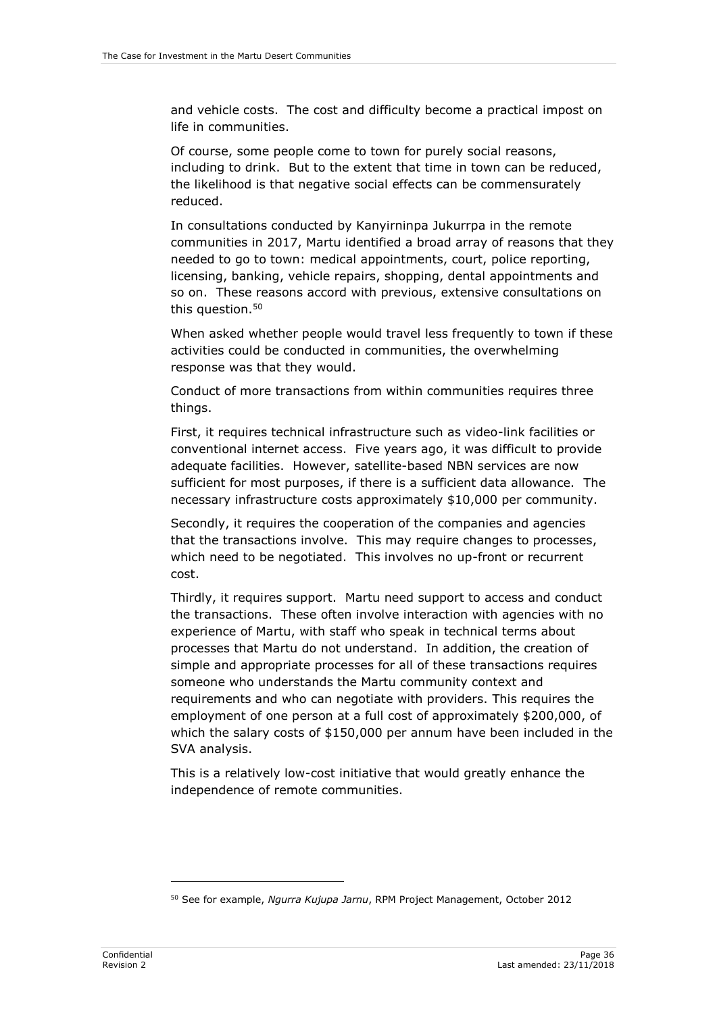and vehicle costs. The cost and difficulty become a practical impost on life in communities.

Of course, some people come to town for purely social reasons, including to drink. But to the extent that time in town can be reduced, the likelihood is that negative social effects can be commensurately reduced.

In consultations conducted by Kanyirninpa Jukurrpa in the remote communities in 2017, Martu identified a broad array of reasons that they needed to go to town: medical appointments, court, police reporting, licensing, banking, vehicle repairs, shopping, dental appointments and so on. These reasons accord with previous, extensive consultations on this question.<sup>50</sup>

When asked whether people would travel less frequently to town if these activities could be conducted in communities, the overwhelming response was that they would.

Conduct of more transactions from within communities requires three things.

First, it requires technical infrastructure such as video-link facilities or conventional internet access. Five years ago, it was difficult to provide adequate facilities. However, satellite-based NBN services are now sufficient for most purposes, if there is a sufficient data allowance. The necessary infrastructure costs approximately \$10,000 per community.

Secondly, it requires the cooperation of the companies and agencies that the transactions involve. This may require changes to processes, which need to be negotiated. This involves no up-front or recurrent cost.

Thirdly, it requires support. Martu need support to access and conduct the transactions. These often involve interaction with agencies with no experience of Martu, with staff who speak in technical terms about processes that Martu do not understand. In addition, the creation of simple and appropriate processes for all of these transactions requires someone who understands the Martu community context and requirements and who can negotiate with providers. This requires the employment of one person at a full cost of approximately \$200,000, of which the salary costs of \$150,000 per annum have been included in the SVA analysis.

This is a relatively low-cost initiative that would greatly enhance the independence of remote communities.

<sup>50</sup> See for example, *Ngurra Kujupa Jarnu*, RPM Project Management, October 2012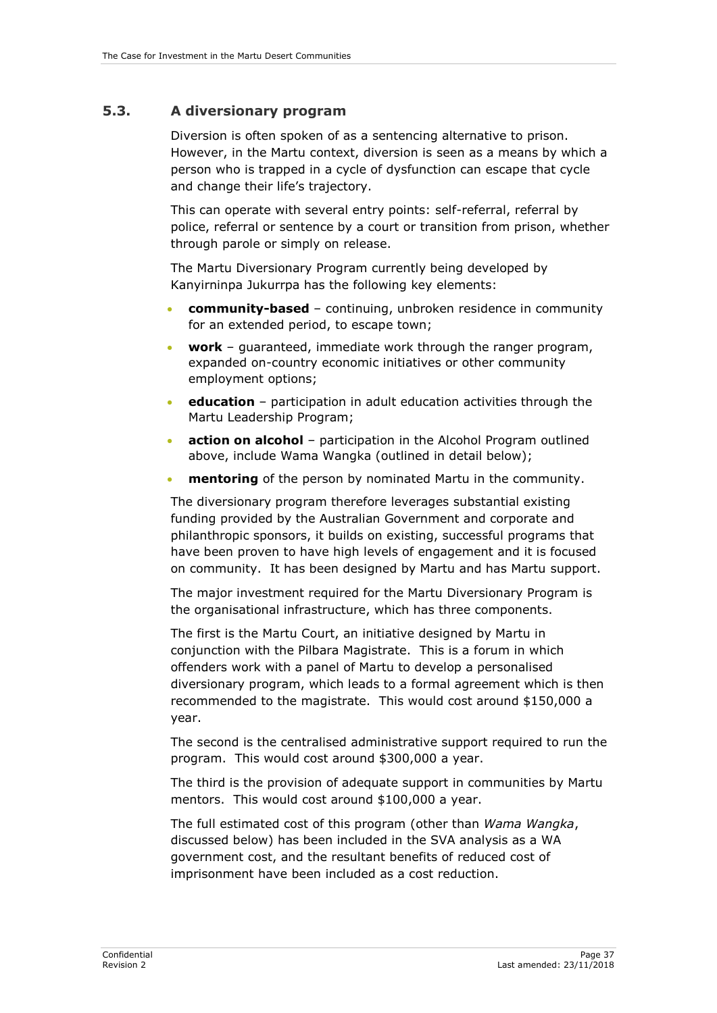#### <span id="page-42-0"></span>**5.3. A diversionary program**

Diversion is often spoken of as a sentencing alternative to prison. However, in the Martu context, diversion is seen as a means by which a person who is trapped in a cycle of dysfunction can escape that cycle and change their life's trajectory.

This can operate with several entry points: self-referral, referral by police, referral or sentence by a court or transition from prison, whether through parole or simply on release.

The Martu Diversionary Program currently being developed by Kanyirninpa Jukurrpa has the following key elements:

- **community-based** continuing, unbroken residence in community for an extended period, to escape town;
- **work** guaranteed, immediate work through the ranger program, expanded on-country economic initiatives or other community employment options;
- **education** participation in adult education activities through the Martu Leadership Program;
- **action on alcohol** participation in the Alcohol Program outlined above, include Wama Wangka (outlined in detail below);
- **mentoring** of the person by nominated Martu in the community.

The diversionary program therefore leverages substantial existing funding provided by the Australian Government and corporate and philanthropic sponsors, it builds on existing, successful programs that have been proven to have high levels of engagement and it is focused on community. It has been designed by Martu and has Martu support.

The major investment required for the Martu Diversionary Program is the organisational infrastructure, which has three components.

The first is the Martu Court, an initiative designed by Martu in conjunction with the Pilbara Magistrate. This is a forum in which offenders work with a panel of Martu to develop a personalised diversionary program, which leads to a formal agreement which is then recommended to the magistrate. This would cost around \$150,000 a year.

The second is the centralised administrative support required to run the program. This would cost around \$300,000 a year.

The third is the provision of adequate support in communities by Martu mentors. This would cost around \$100,000 a year.

The full estimated cost of this program (other than *Wama Wangka*, discussed below) has been included in the SVA analysis as a WA government cost, and the resultant benefits of reduced cost of imprisonment have been included as a cost reduction.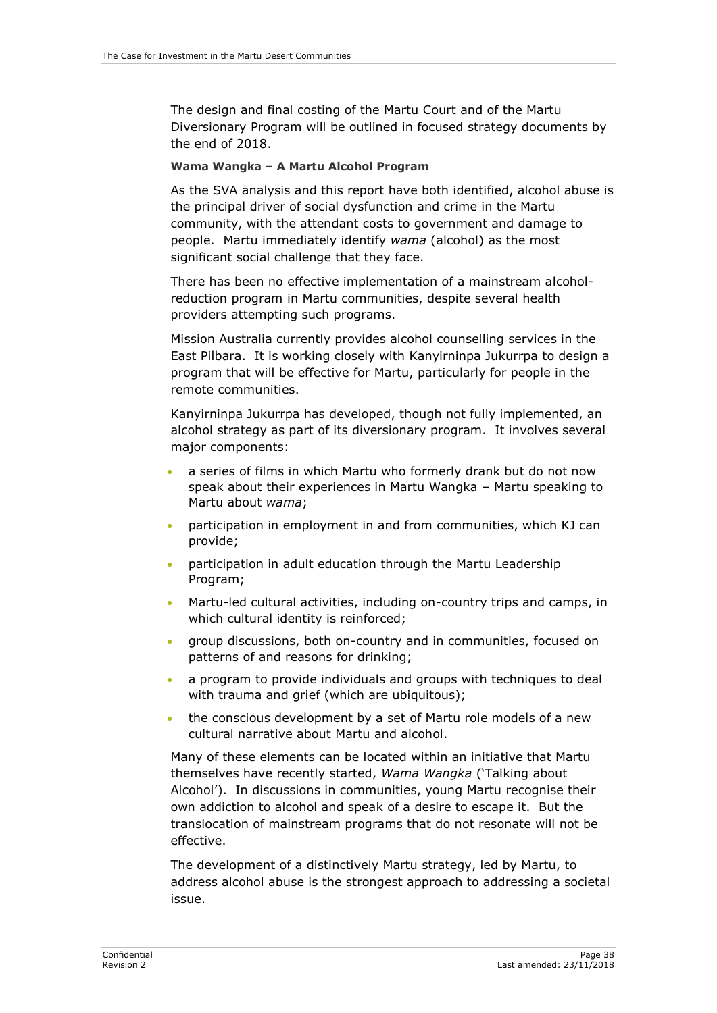The design and final costing of the Martu Court and of the Martu Diversionary Program will be outlined in focused strategy documents by the end of 2018.

#### <span id="page-43-0"></span>**Wama Wangka – A Martu Alcohol Program**

As the SVA analysis and this report have both identified, alcohol abuse is the principal driver of social dysfunction and crime in the Martu community, with the attendant costs to government and damage to people. Martu immediately identify *wama* (alcohol) as the most significant social challenge that they face.

There has been no effective implementation of a mainstream alcoholreduction program in Martu communities, despite several health providers attempting such programs.

Mission Australia currently provides alcohol counselling services in the East Pilbara. It is working closely with Kanyirninpa Jukurrpa to design a program that will be effective for Martu, particularly for people in the remote communities.

Kanyirninpa Jukurrpa has developed, though not fully implemented, an alcohol strategy as part of its diversionary program. It involves several major components:

- a series of films in which Martu who formerly drank but do not now speak about their experiences in Martu Wangka – Martu speaking to Martu about *wama*;
- participation in employment in and from communities, which KJ can provide;
- participation in adult education through the Martu Leadership Program;
- Martu-led cultural activities, including on-country trips and camps, in which cultural identity is reinforced;
- group discussions, both on-country and in communities, focused on patterns of and reasons for drinking;
- a program to provide individuals and groups with techniques to deal with trauma and grief (which are ubiquitous);
- the conscious development by a set of Martu role models of a new cultural narrative about Martu and alcohol.

Many of these elements can be located within an initiative that Martu themselves have recently started, *Wama Wangka* ('Talking about Alcohol'). In discussions in communities, young Martu recognise their own addiction to alcohol and speak of a desire to escape it. But the translocation of mainstream programs that do not resonate will not be effective.

The development of a distinctively Martu strategy, led by Martu, to address alcohol abuse is the strongest approach to addressing a societal issue.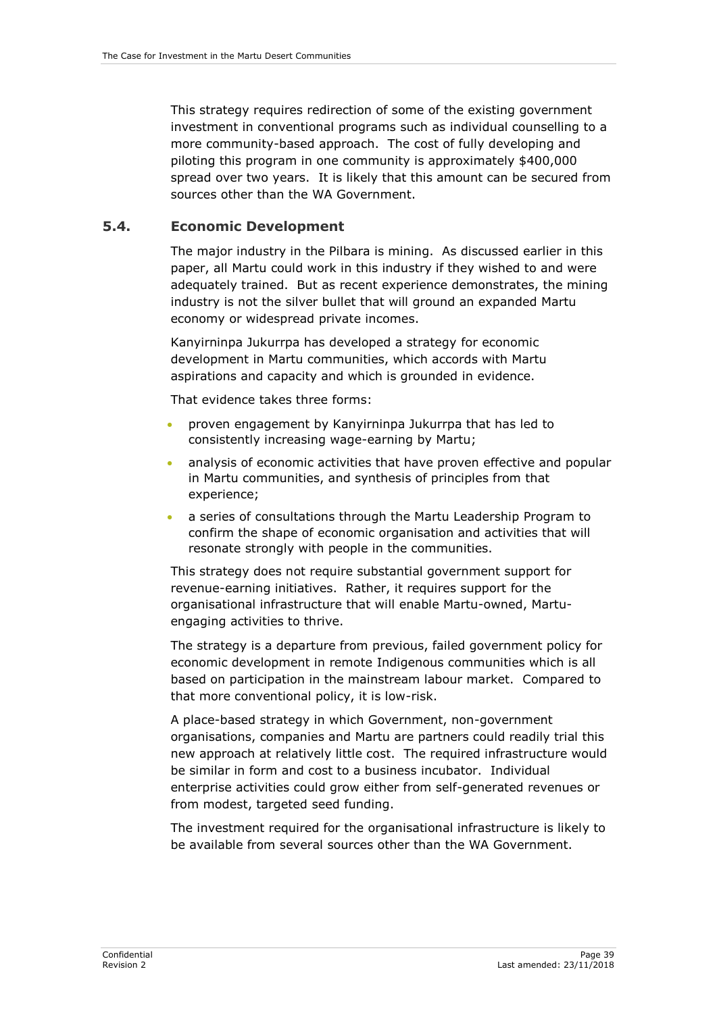This strategy requires redirection of some of the existing government investment in conventional programs such as individual counselling to a more community-based approach. The cost of fully developing and piloting this program in one community is approximately \$400,000 spread over two years. It is likely that this amount can be secured from sources other than the WA Government.

#### <span id="page-44-0"></span>**5.4. Economic Development**

The major industry in the Pilbara is mining. As discussed earlier in this paper, all Martu could work in this industry if they wished to and were adequately trained. But as recent experience demonstrates, the mining industry is not the silver bullet that will ground an expanded Martu economy or widespread private incomes.

Kanyirninpa Jukurrpa has developed a strategy for economic development in Martu communities, which accords with Martu aspirations and capacity and which is grounded in evidence.

That evidence takes three forms:

- proven engagement by Kanyirninpa Jukurrpa that has led to consistently increasing wage-earning by Martu;
- analysis of economic activities that have proven effective and popular in Martu communities, and synthesis of principles from that experience;
- a series of consultations through the Martu Leadership Program to confirm the shape of economic organisation and activities that will resonate strongly with people in the communities.

This strategy does not require substantial government support for revenue-earning initiatives. Rather, it requires support for the organisational infrastructure that will enable Martu-owned, Martuengaging activities to thrive.

The strategy is a departure from previous, failed government policy for economic development in remote Indigenous communities which is all based on participation in the mainstream labour market. Compared to that more conventional policy, it is low-risk.

A place-based strategy in which Government, non-government organisations, companies and Martu are partners could readily trial this new approach at relatively little cost. The required infrastructure would be similar in form and cost to a business incubator. Individual enterprise activities could grow either from self-generated revenues or from modest, targeted seed funding.

The investment required for the organisational infrastructure is likely to be available from several sources other than the WA Government.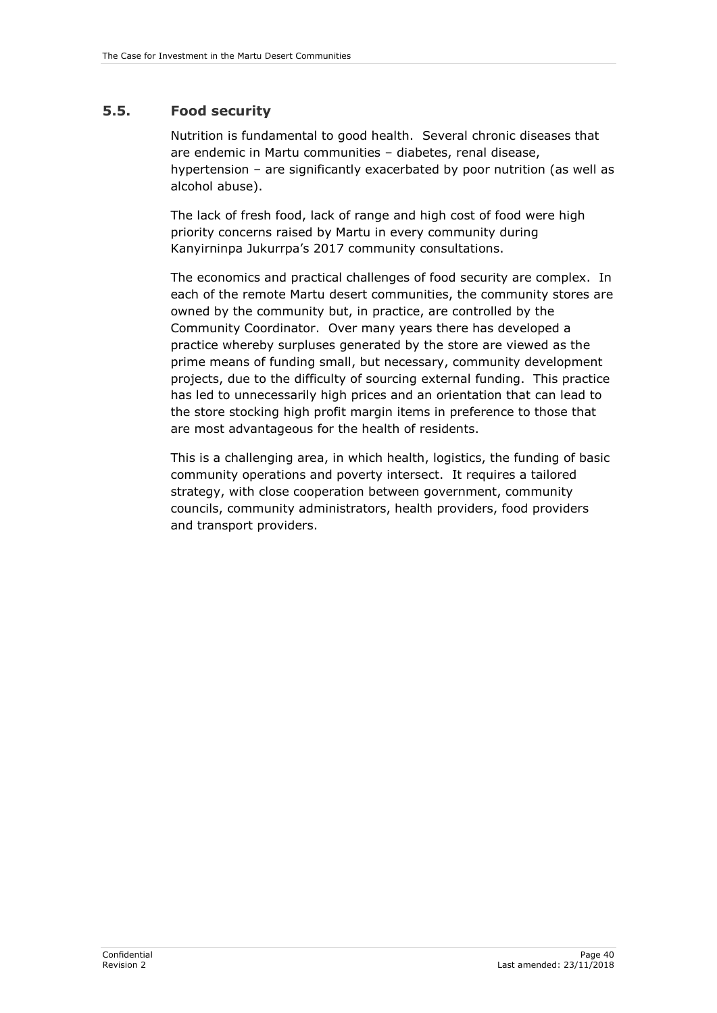# <span id="page-45-0"></span>**5.5. Food security**

Nutrition is fundamental to good health. Several chronic diseases that are endemic in Martu communities – diabetes, renal disease, hypertension – are significantly exacerbated by poor nutrition (as well as alcohol abuse).

The lack of fresh food, lack of range and high cost of food were high priority concerns raised by Martu in every community during Kanyirninpa Jukurrpa's 2017 community consultations.

The economics and practical challenges of food security are complex. In each of the remote Martu desert communities, the community stores are owned by the community but, in practice, are controlled by the Community Coordinator. Over many years there has developed a practice whereby surpluses generated by the store are viewed as the prime means of funding small, but necessary, community development projects, due to the difficulty of sourcing external funding. This practice has led to unnecessarily high prices and an orientation that can lead to the store stocking high profit margin items in preference to those that are most advantageous for the health of residents.

This is a challenging area, in which health, logistics, the funding of basic community operations and poverty intersect. It requires a tailored strategy, with close cooperation between government, community councils, community administrators, health providers, food providers and transport providers.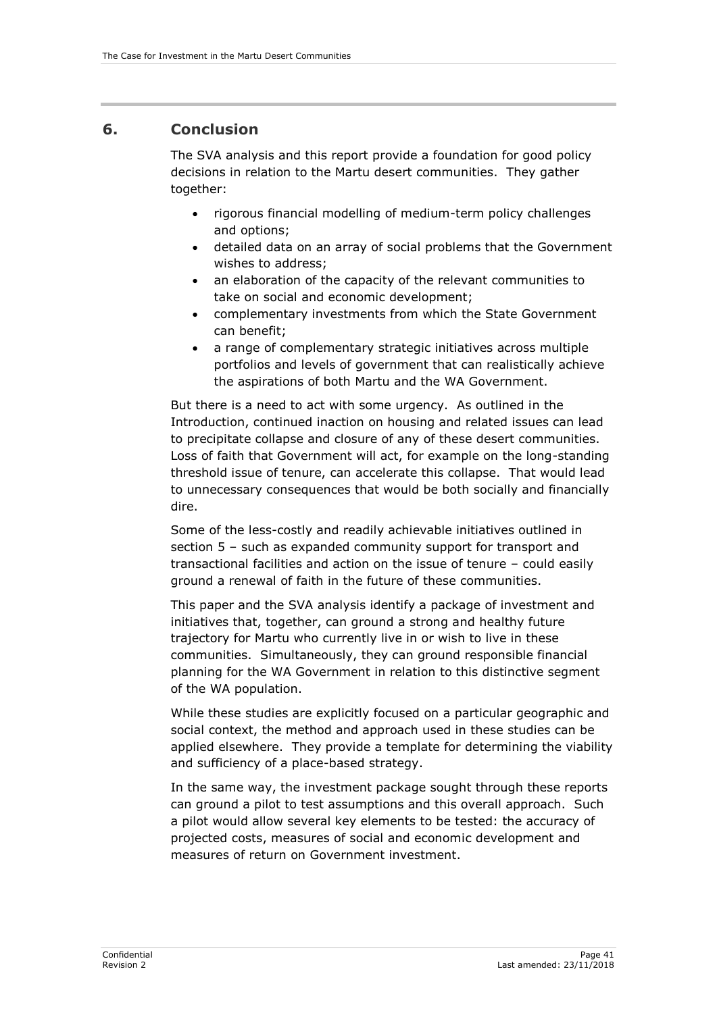## <span id="page-46-0"></span>**6. Conclusion**

The SVA analysis and this report provide a foundation for good policy decisions in relation to the Martu desert communities. They gather together:

- rigorous financial modelling of medium-term policy challenges and options;
- detailed data on an array of social problems that the Government wishes to address;
- an elaboration of the capacity of the relevant communities to take on social and economic development;
- complementary investments from which the State Government can benefit;
- a range of complementary strategic initiatives across multiple portfolios and levels of government that can realistically achieve the aspirations of both Martu and the WA Government.

But there is a need to act with some urgency. As outlined in the Introduction, continued inaction on housing and related issues can lead to precipitate collapse and closure of any of these desert communities. Loss of faith that Government will act, for example on the long-standing threshold issue of tenure, can accelerate this collapse. That would lead to unnecessary consequences that would be both socially and financially dire.

Some of the less-costly and readily achievable initiatives outlined in section 5 – such as expanded community support for transport and transactional facilities and action on the issue of tenure – could easily ground a renewal of faith in the future of these communities.

This paper and the SVA analysis identify a package of investment and initiatives that, together, can ground a strong and healthy future trajectory for Martu who currently live in or wish to live in these communities. Simultaneously, they can ground responsible financial planning for the WA Government in relation to this distinctive segment of the WA population.

While these studies are explicitly focused on a particular geographic and social context, the method and approach used in these studies can be applied elsewhere. They provide a template for determining the viability and sufficiency of a place-based strategy.

In the same way, the investment package sought through these reports can ground a pilot to test assumptions and this overall approach. Such a pilot would allow several key elements to be tested: the accuracy of projected costs, measures of social and economic development and measures of return on Government investment.